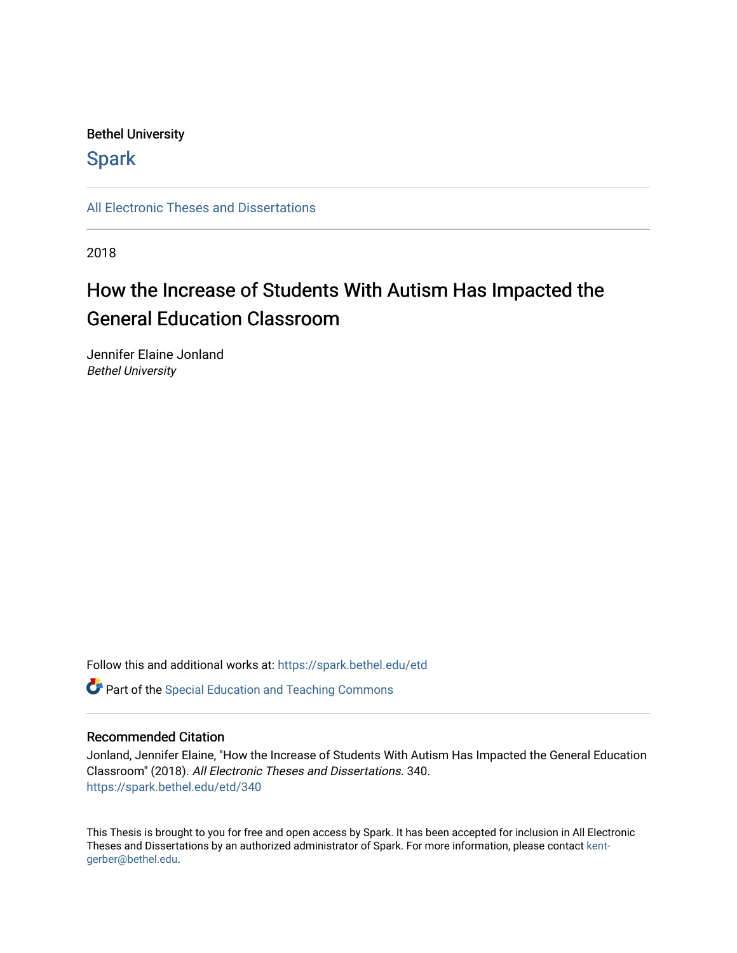# Bethel University

# **Spark**

[All Electronic Theses and Dissertations](https://spark.bethel.edu/etd) 

2018

# How the Increase of Students With Autism Has Impacted the General Education Classroom

Jennifer Elaine Jonland Bethel University

Follow this and additional works at: [https://spark.bethel.edu/etd](https://spark.bethel.edu/etd?utm_source=spark.bethel.edu%2Fetd%2F340&utm_medium=PDF&utm_campaign=PDFCoverPages)

**C** Part of the Special Education and Teaching Commons

## Recommended Citation

Jonland, Jennifer Elaine, "How the Increase of Students With Autism Has Impacted the General Education Classroom" (2018). All Electronic Theses and Dissertations. 340. [https://spark.bethel.edu/etd/340](https://spark.bethel.edu/etd/340?utm_source=spark.bethel.edu%2Fetd%2F340&utm_medium=PDF&utm_campaign=PDFCoverPages)

This Thesis is brought to you for free and open access by Spark. It has been accepted for inclusion in All Electronic Theses and Dissertations by an authorized administrator of Spark. For more information, please contact [kent](mailto:kent-gerber@bethel.edu)[gerber@bethel.edu.](mailto:kent-gerber@bethel.edu)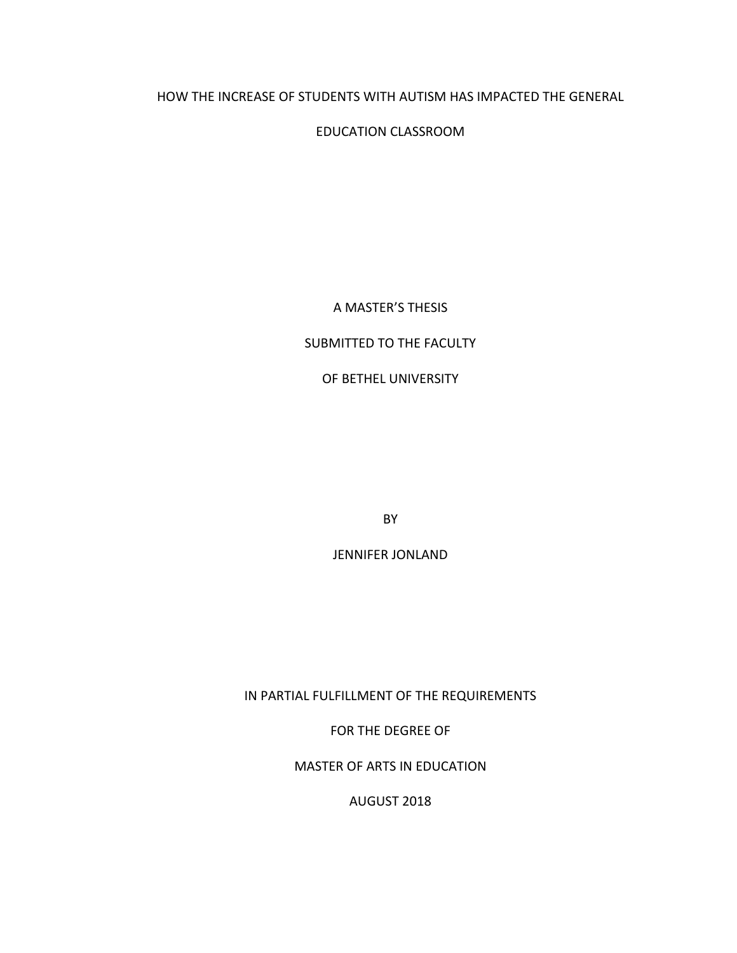# HOW THE INCREASE OF STUDENTS WITH AUTISM HAS IMPACTED THE GENERAL

EDUCATION CLASSROOM

A MASTER'S THESIS

## SUBMITTED TO THE FACULTY

OF BETHEL UNIVERSITY

BY

**JENNIFER JONLAND** 

IN PARTIAL FULFILLMENT OF THE REQUIREMENTS

FOR THE DEGREE OF

MASTER OF ARTS IN EDUCATION

AUGUST 2018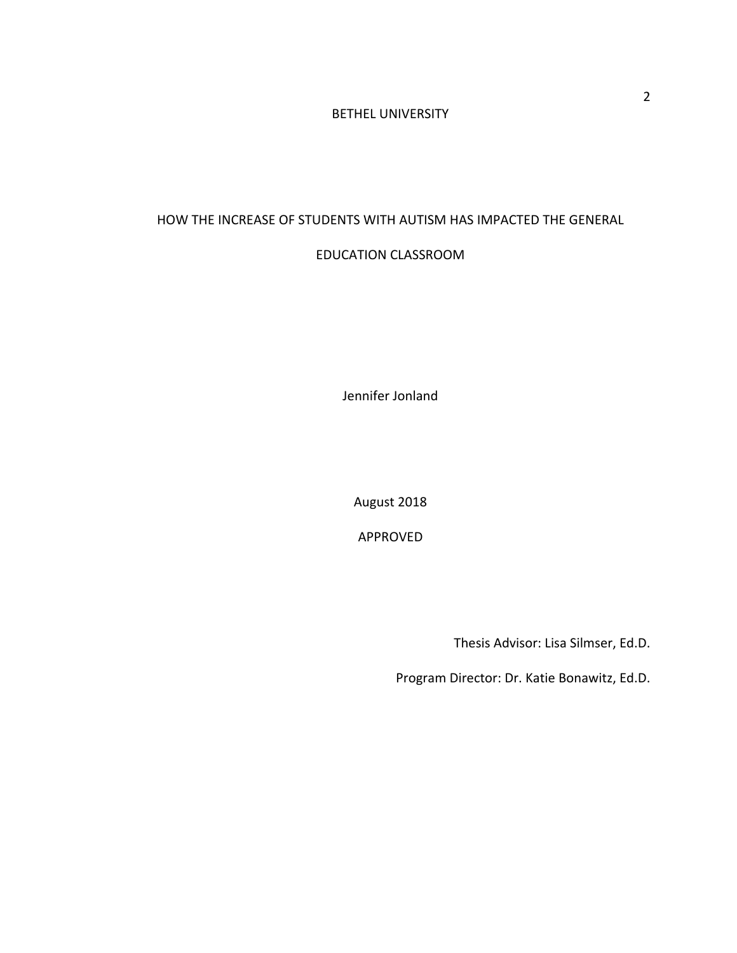# BETHEL UNIVERSITY

# HOW THE INCREASE OF STUDENTS WITH AUTISM HAS IMPACTED THE GENERAL

## EDUCATION CLASSROOM

Jennifer Jonland

August 2018

APPROVED

Thesis Advisor: Lisa Silmser, Ed.D.

Program Director: Dr. Katie Bonawitz, Ed.D.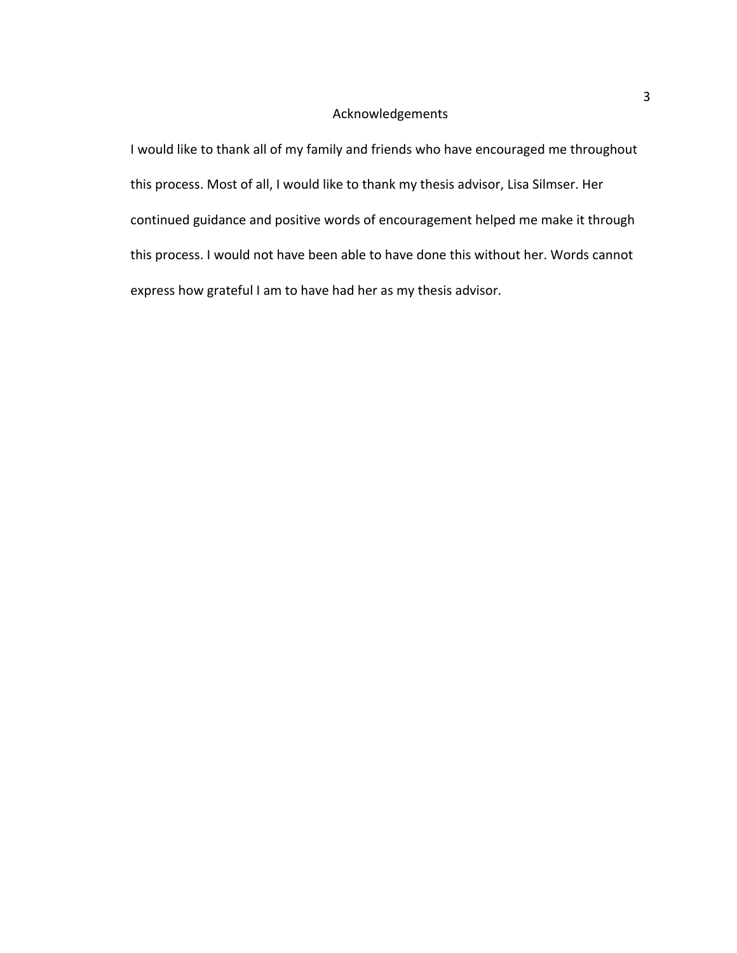# Acknowledgements

I would like to thank all of my family and friends who have encouraged me throughout this process. Most of all, I would like to thank my thesis advisor, Lisa Silmser. Her continued guidance and positive words of encouragement helped me make it through this process. I would not have been able to have done this without her. Words cannot express how grateful I am to have had her as my thesis advisor.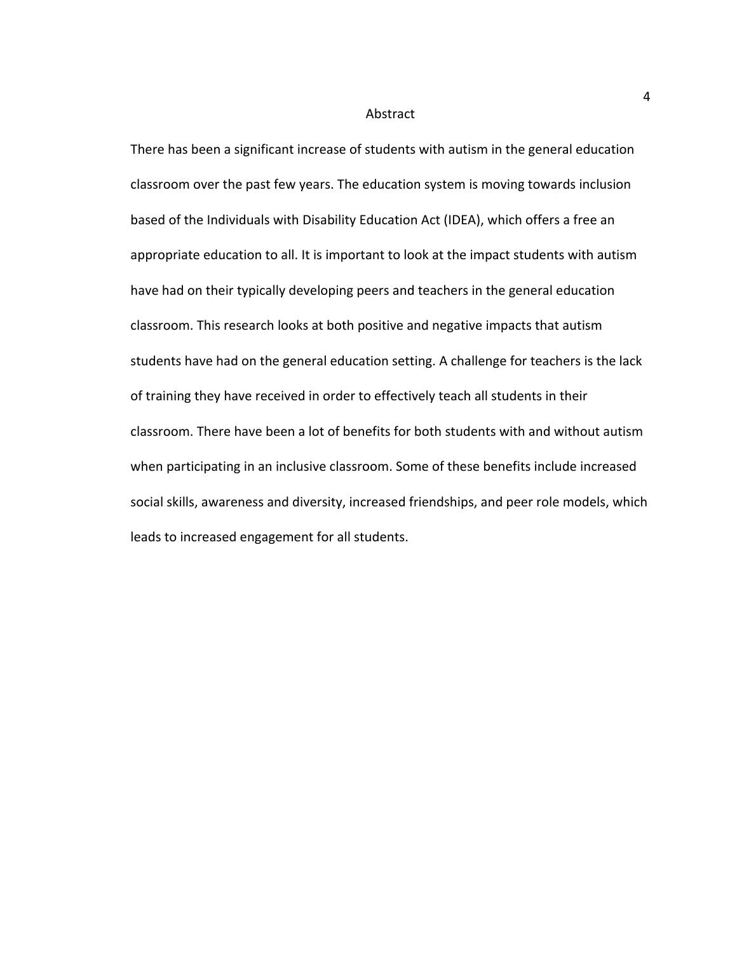#### Abstract

There has been a significant increase of students with autism in the general education classroom over the past few years. The education system is moving towards inclusion based of the Individuals with Disability Education Act (IDEA), which offers a free an appropriate education to all. It is important to look at the impact students with autism have had on their typically developing peers and teachers in the general education classroom. This research looks at both positive and negative impacts that autism students have had on the general education setting. A challenge for teachers is the lack of training they have received in order to effectively teach all students in their classroom. There have been a lot of benefits for both students with and without autism when participating in an inclusive classroom. Some of these benefits include increased social skills, awareness and diversity, increased friendships, and peer role models, which leads to increased engagement for all students.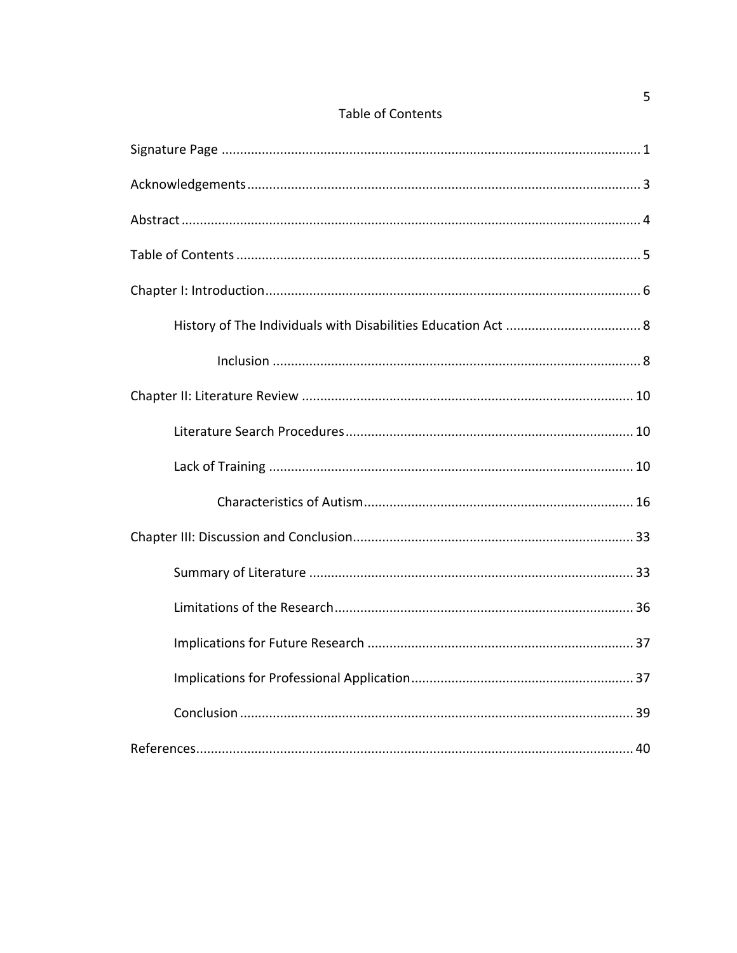| <b>Table of Contents</b> |  |
|--------------------------|--|
|--------------------------|--|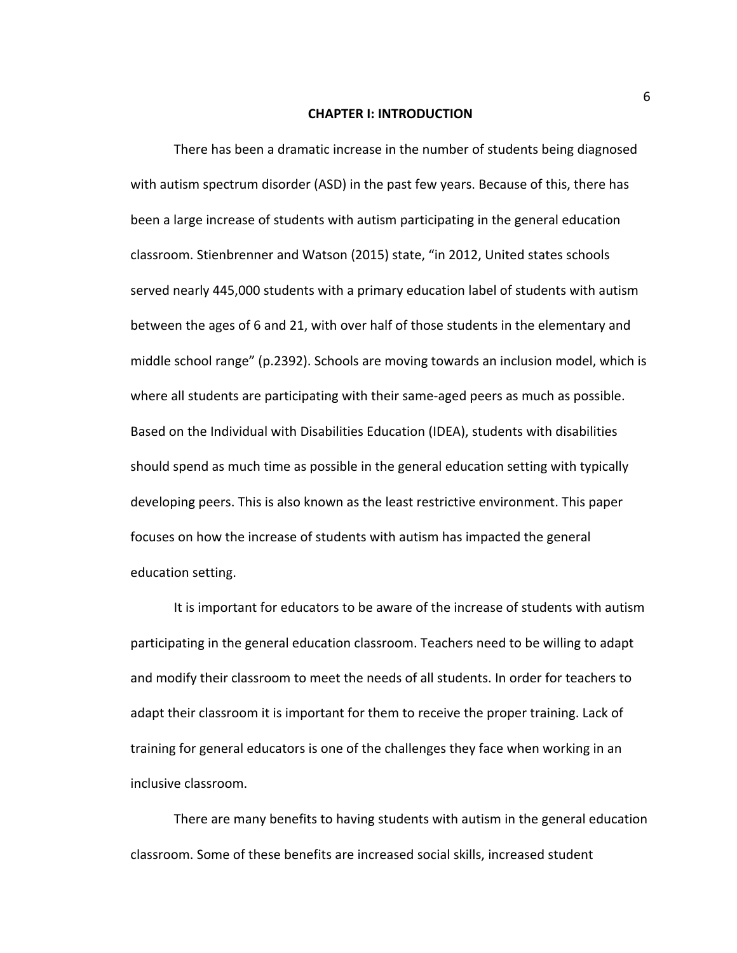#### **CHAPTER I: INTRODUCTION**

There has been a dramatic increase in the number of students being diagnosed with autism spectrum disorder (ASD) in the past few years. Because of this, there has been a large increase of students with autism participating in the general education classroom. Stienbrenner and Watson (2015) state, "in 2012, United states schools served nearly 445,000 students with a primary education label of students with autism between the ages of 6 and 21, with over half of those students in the elementary and middle school range" (p.2392). Schools are moving towards an inclusion model, which is where all students are participating with their same-aged peers as much as possible. Based on the Individual with Disabilities Education (IDEA), students with disabilities should spend as much time as possible in the general education setting with typically developing peers. This is also known as the least restrictive environment. This paper focuses on how the increase of students with autism has impacted the general education setting.

It is important for educators to be aware of the increase of students with autism participating in the general education classroom. Teachers need to be willing to adapt and modify their classroom to meet the needs of all students. In order for teachers to adapt their classroom it is important for them to receive the proper training. Lack of training for general educators is one of the challenges they face when working in an inclusive classroom.

There are many benefits to having students with autism in the general education classroom. Some of these benefits are increased social skills, increased student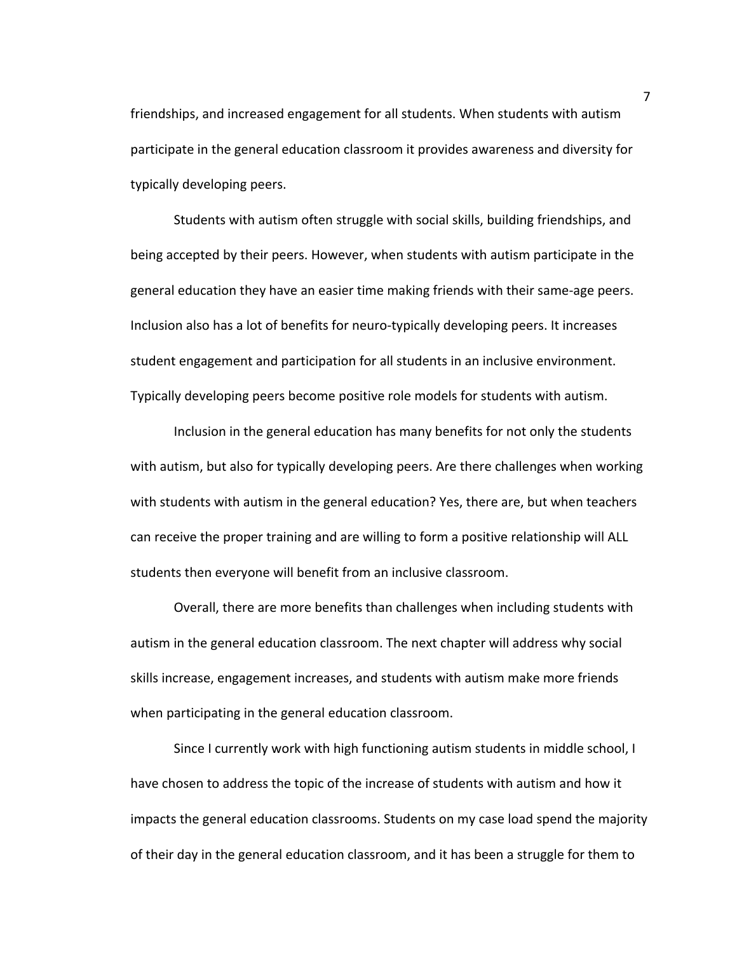friendships, and increased engagement for all students. When students with autism participate in the general education classroom it provides awareness and diversity for typically developing peers.

Students with autism often struggle with social skills, building friendships, and being accepted by their peers. However, when students with autism participate in the general education they have an easier time making friends with their same-age peers. Inclusion also has a lot of benefits for neuro-typically developing peers. It increases student engagement and participation for all students in an inclusive environment. Typically developing peers become positive role models for students with autism.

Inclusion in the general education has many benefits for not only the students with autism, but also for typically developing peers. Are there challenges when working with students with autism in the general education? Yes, there are, but when teachers can receive the proper training and are willing to form a positive relationship will ALL students then everyone will benefit from an inclusive classroom.

Overall, there are more benefits than challenges when including students with autism in the general education classroom. The next chapter will address why social skills increase, engagement increases, and students with autism make more friends when participating in the general education classroom.

Since I currently work with high functioning autism students in middle school, I have chosen to address the topic of the increase of students with autism and how it impacts the general education classrooms. Students on my case load spend the majority of their day in the general education classroom, and it has been a struggle for them to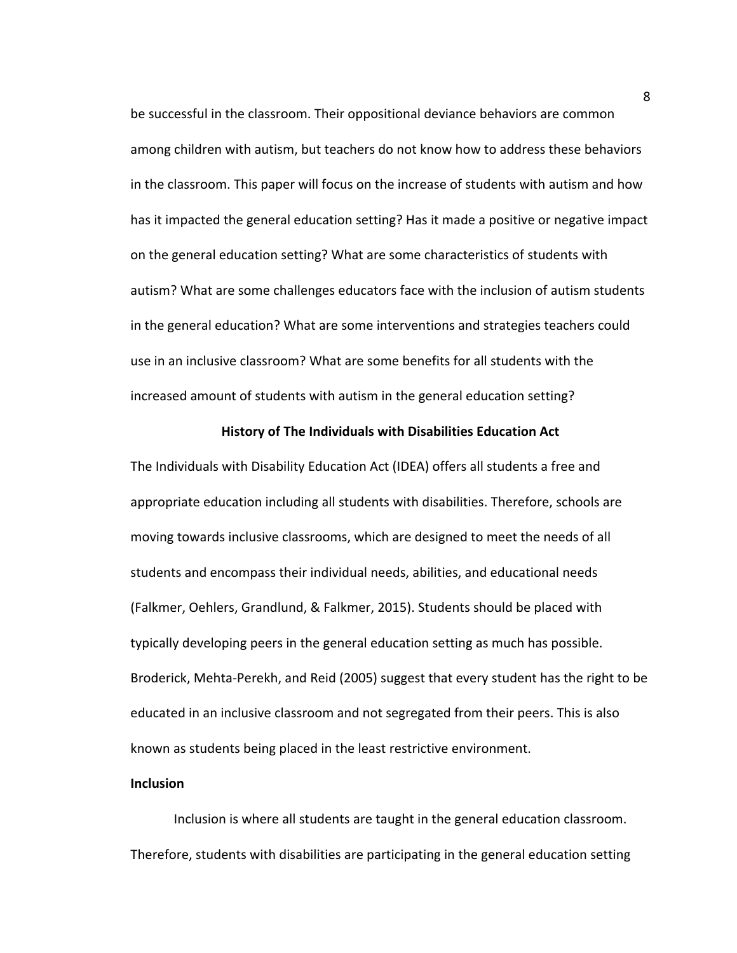be successful in the classroom. Their oppositional deviance behaviors are common among children with autism, but teachers do not know how to address these behaviors in the classroom. This paper will focus on the increase of students with autism and how has it impacted the general education setting? Has it made a positive or negative impact on the general education setting? What are some characteristics of students with autism? What are some challenges educators face with the inclusion of autism students in the general education? What are some interventions and strategies teachers could use in an inclusive classroom? What are some benefits for all students with the increased amount of students with autism in the general education setting?

#### **History of The Individuals with Disabilities Education Act**

The Individuals with Disability Education Act (IDEA) offers all students a free and appropriate education including all students with disabilities. Therefore, schools are moving towards inclusive classrooms, which are designed to meet the needs of all students and encompass their individual needs, abilities, and educational needs (Falkmer, Oehlers, Grandlund, & Falkmer, 2015). Students should be placed with typically developing peers in the general education setting as much has possible. Broderick, Mehta-Perekh, and Reid (2005) suggest that every student has the right to be educated in an inclusive classroom and not segregated from their peers. This is also known as students being placed in the least restrictive environment.

## **Inclusion**

Inclusion is where all students are taught in the general education classroom. Therefore, students with disabilities are participating in the general education setting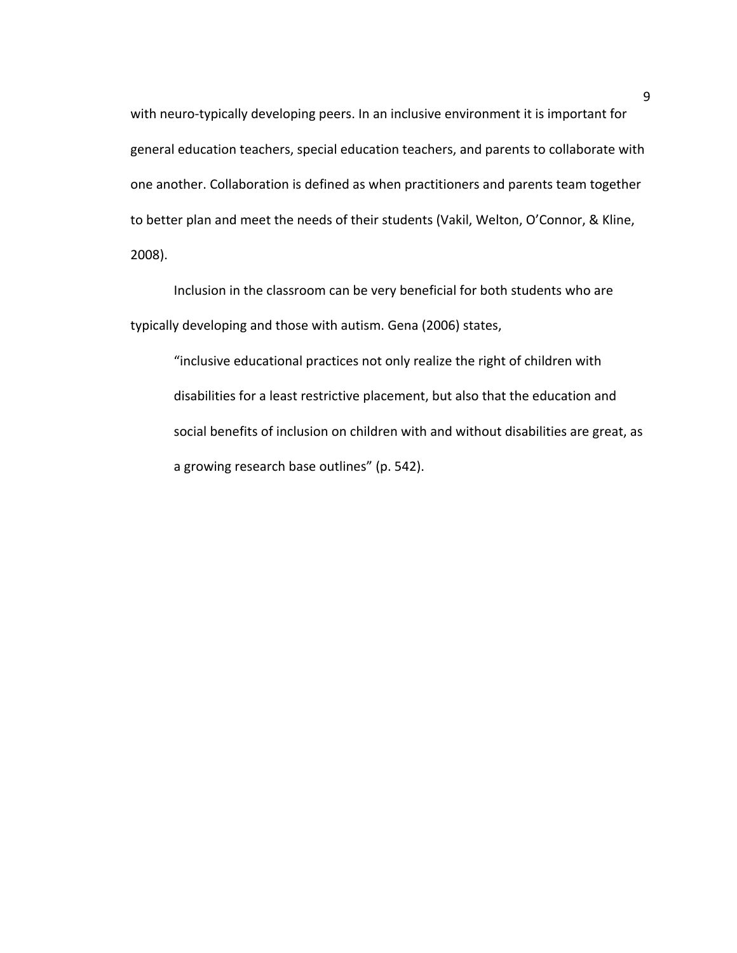with neuro-typically developing peers. In an inclusive environment it is important for general education teachers, special education teachers, and parents to collaborate with one another. Collaboration is defined as when practitioners and parents team together to better plan and meet the needs of their students (Vakil, Welton, O'Connor, & Kline, 2008). 

Inclusion in the classroom can be very beneficial for both students who are typically developing and those with autism. Gena (2006) states,

"inclusive educational practices not only realize the right of children with disabilities for a least restrictive placement, but also that the education and social benefits of inclusion on children with and without disabilities are great, as a growing research base outlines" (p. 542).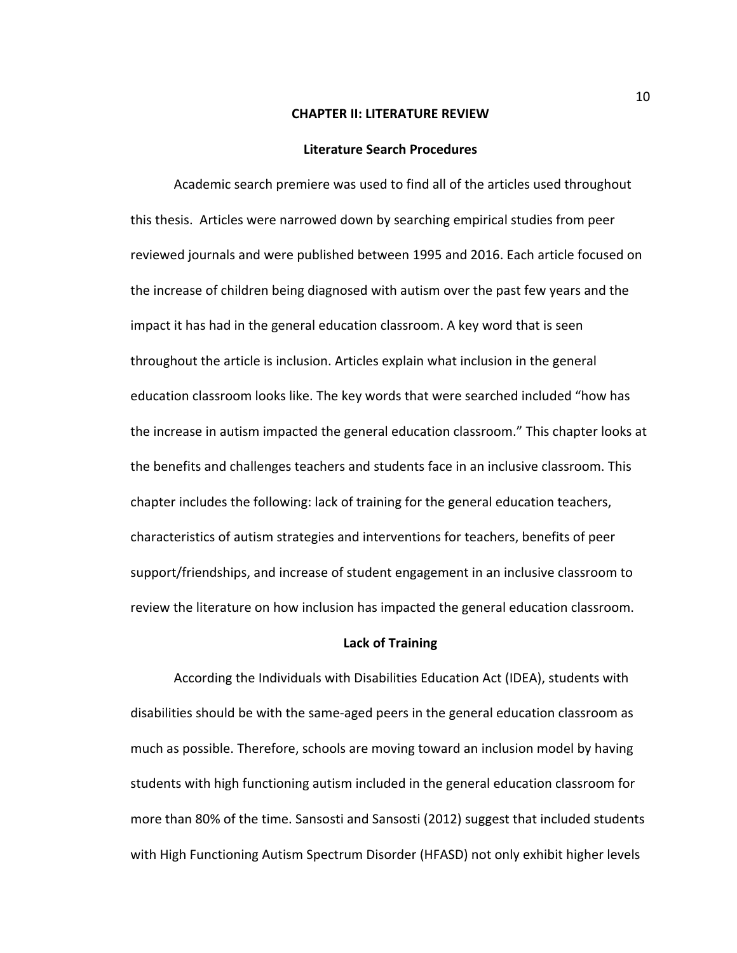#### **CHAPTER II: LITERATURE REVIEW**

#### **Literature Search Procedures**

Academic search premiere was used to find all of the articles used throughout this thesis. Articles were narrowed down by searching empirical studies from peer reviewed journals and were published between 1995 and 2016. Each article focused on the increase of children being diagnosed with autism over the past few years and the impact it has had in the general education classroom. A key word that is seen throughout the article is inclusion. Articles explain what inclusion in the general education classroom looks like. The key words that were searched included "how has the increase in autism impacted the general education classroom." This chapter looks at the benefits and challenges teachers and students face in an inclusive classroom. This chapter includes the following: lack of training for the general education teachers, characteristics of autism strategies and interventions for teachers, benefits of peer support/friendships, and increase of student engagement in an inclusive classroom to review the literature on how inclusion has impacted the general education classroom.

## **Lack of Training**

According the Individuals with Disabilities Education Act (IDEA), students with disabilities should be with the same-aged peers in the general education classroom as much as possible. Therefore, schools are moving toward an inclusion model by having students with high functioning autism included in the general education classroom for more than 80% of the time. Sansosti and Sansosti (2012) suggest that included students with High Functioning Autism Spectrum Disorder (HFASD) not only exhibit higher levels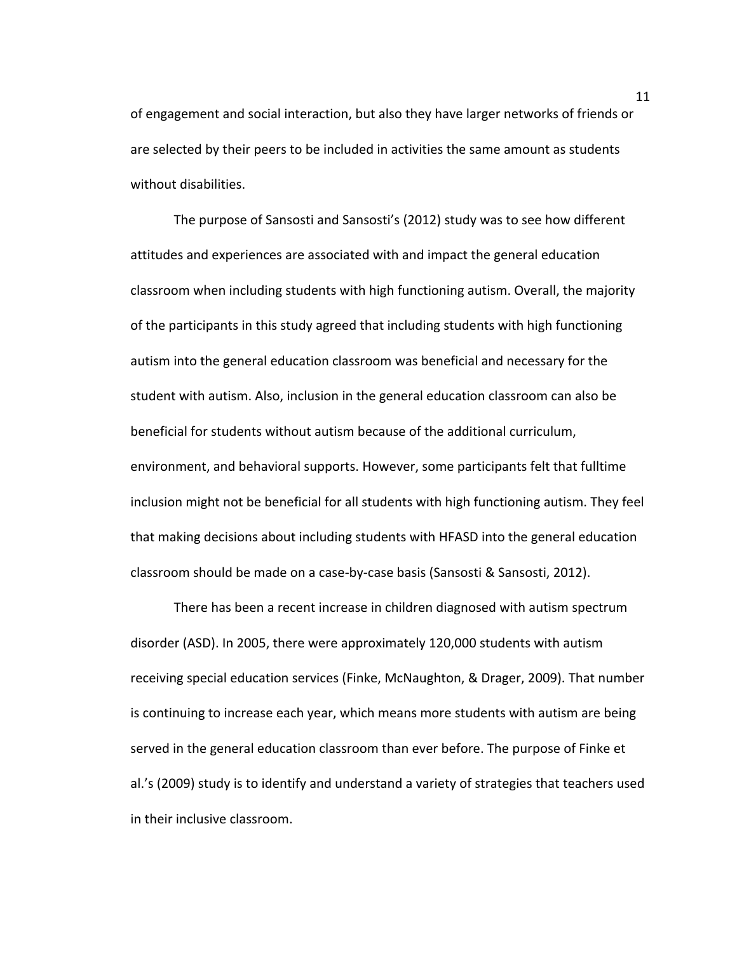of engagement and social interaction, but also they have larger networks of friends or are selected by their peers to be included in activities the same amount as students without disabilities.

The purpose of Sansosti and Sansosti's (2012) study was to see how different attitudes and experiences are associated with and impact the general education classroom when including students with high functioning autism. Overall, the majority of the participants in this study agreed that including students with high functioning autism into the general education classroom was beneficial and necessary for the student with autism. Also, inclusion in the general education classroom can also be beneficial for students without autism because of the additional curriculum, environment, and behavioral supports. However, some participants felt that fulltime inclusion might not be beneficial for all students with high functioning autism. They feel that making decisions about including students with HFASD into the general education classroom should be made on a case-by-case basis (Sansosti & Sansosti, 2012).

There has been a recent increase in children diagnosed with autism spectrum disorder (ASD). In 2005, there were approximately 120,000 students with autism receiving special education services (Finke, McNaughton, & Drager, 2009). That number is continuing to increase each year, which means more students with autism are being served in the general education classroom than ever before. The purpose of Finke et al.'s (2009) study is to identify and understand a variety of strategies that teachers used in their inclusive classroom.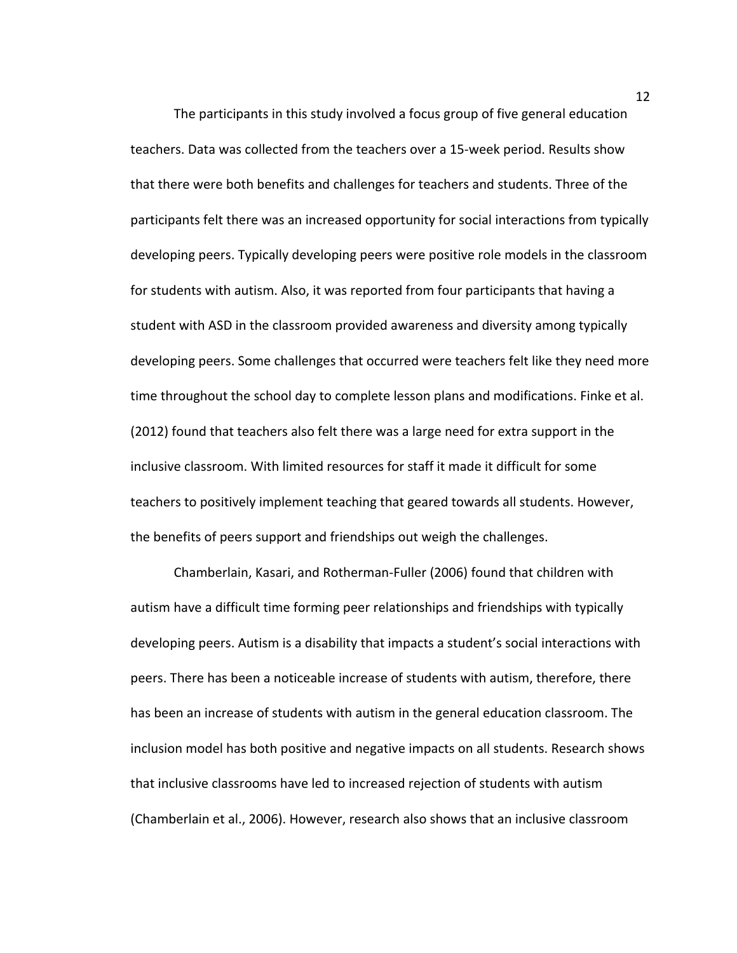The participants in this study involved a focus group of five general education teachers. Data was collected from the teachers over a 15-week period. Results show that there were both benefits and challenges for teachers and students. Three of the participants felt there was an increased opportunity for social interactions from typically developing peers. Typically developing peers were positive role models in the classroom for students with autism. Also, it was reported from four participants that having a student with ASD in the classroom provided awareness and diversity among typically developing peers. Some challenges that occurred were teachers felt like they need more time throughout the school day to complete lesson plans and modifications. Finke et al. (2012) found that teachers also felt there was a large need for extra support in the inclusive classroom. With limited resources for staff it made it difficult for some teachers to positively implement teaching that geared towards all students. However, the benefits of peers support and friendships out weigh the challenges.

Chamberlain, Kasari, and Rotherman-Fuller (2006) found that children with autism have a difficult time forming peer relationships and friendships with typically developing peers. Autism is a disability that impacts a student's social interactions with peers. There has been a noticeable increase of students with autism, therefore, there has been an increase of students with autism in the general education classroom. The inclusion model has both positive and negative impacts on all students. Research shows that inclusive classrooms have led to increased rejection of students with autism (Chamberlain et al., 2006). However, research also shows that an inclusive classroom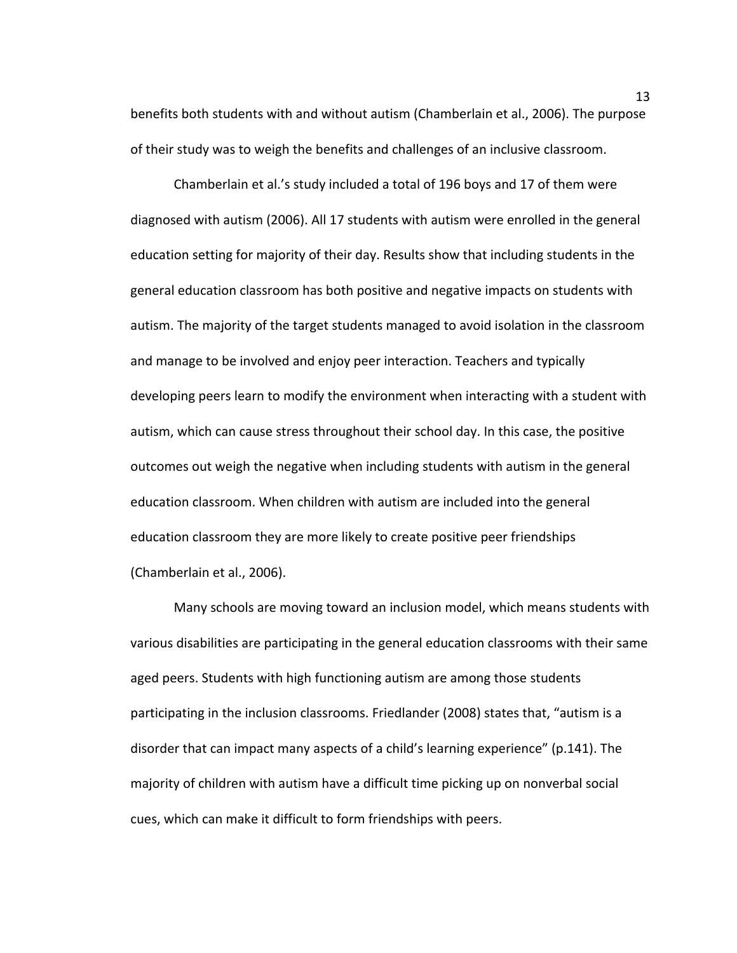benefits both students with and without autism (Chamberlain et al., 2006). The purpose of their study was to weigh the benefits and challenges of an inclusive classroom.

Chamberlain et al.'s study included a total of 196 boys and 17 of them were diagnosed with autism (2006). All 17 students with autism were enrolled in the general education setting for majority of their day. Results show that including students in the general education classroom has both positive and negative impacts on students with autism. The majority of the target students managed to avoid isolation in the classroom and manage to be involved and enjoy peer interaction. Teachers and typically developing peers learn to modify the environment when interacting with a student with autism, which can cause stress throughout their school day. In this case, the positive outcomes out weigh the negative when including students with autism in the general education classroom. When children with autism are included into the general education classroom they are more likely to create positive peer friendships (Chamberlain et al., 2006).

Many schools are moving toward an inclusion model, which means students with various disabilities are participating in the general education classrooms with their same aged peers. Students with high functioning autism are among those students participating in the inclusion classrooms. Friedlander (2008) states that, "autism is a disorder that can impact many aspects of a child's learning experience" (p.141). The majority of children with autism have a difficult time picking up on nonverbal social cues, which can make it difficult to form friendships with peers.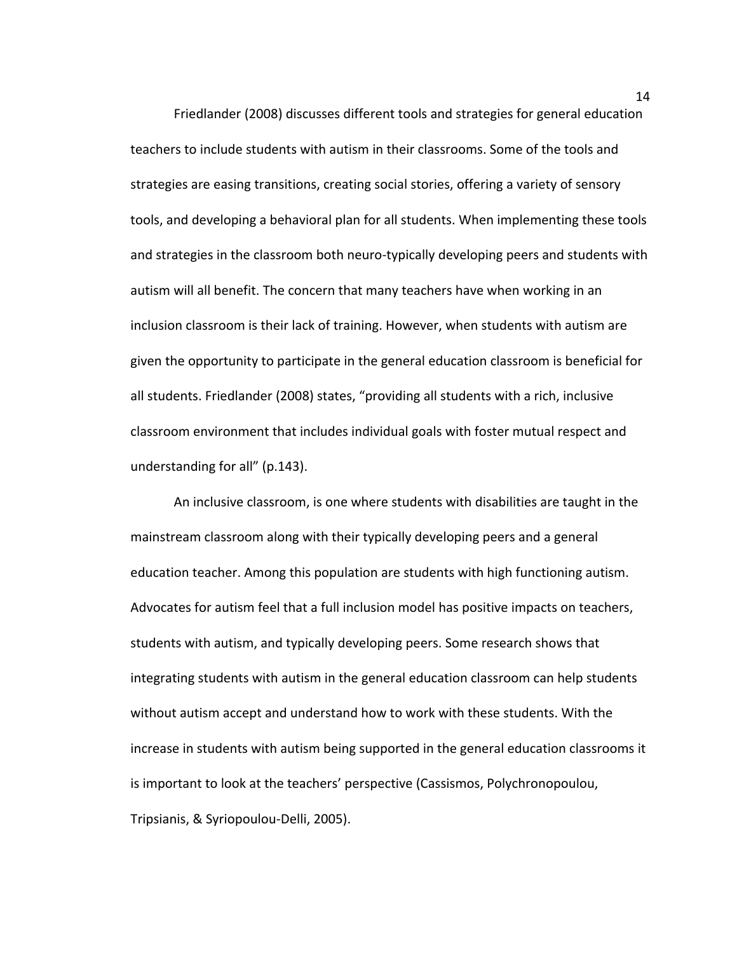Friedlander (2008) discusses different tools and strategies for general education teachers to include students with autism in their classrooms. Some of the tools and strategies are easing transitions, creating social stories, offering a variety of sensory tools, and developing a behavioral plan for all students. When implementing these tools and strategies in the classroom both neuro-typically developing peers and students with autism will all benefit. The concern that many teachers have when working in an inclusion classroom is their lack of training. However, when students with autism are given the opportunity to participate in the general education classroom is beneficial for all students. Friedlander (2008) states, "providing all students with a rich, inclusive classroom environment that includes individual goals with foster mutual respect and understanding for all" (p.143).

An inclusive classroom, is one where students with disabilities are taught in the mainstream classroom along with their typically developing peers and a general education teacher. Among this population are students with high functioning autism. Advocates for autism feel that a full inclusion model has positive impacts on teachers, students with autism, and typically developing peers. Some research shows that integrating students with autism in the general education classroom can help students without autism accept and understand how to work with these students. With the increase in students with autism being supported in the general education classrooms it is important to look at the teachers' perspective (Cassismos, Polychronopoulou, Tripsianis, & Syriopoulou-Delli, 2005).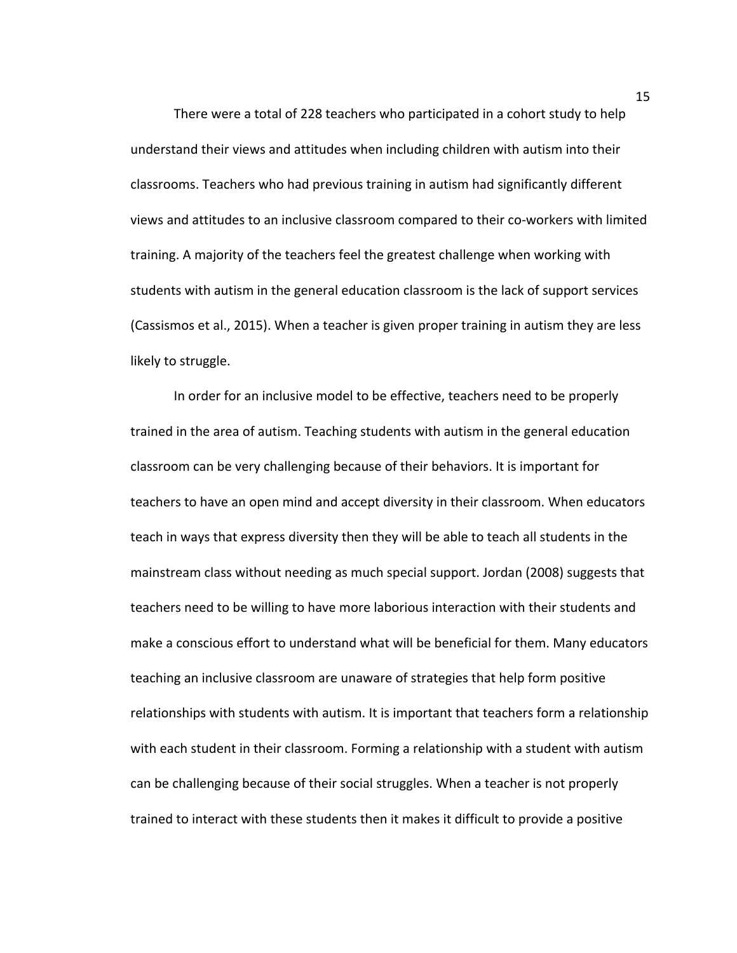There were a total of 228 teachers who participated in a cohort study to help understand their views and attitudes when including children with autism into their classrooms. Teachers who had previous training in autism had significantly different views and attitudes to an inclusive classroom compared to their co-workers with limited training. A majority of the teachers feel the greatest challenge when working with students with autism in the general education classroom is the lack of support services (Cassismos et al., 2015). When a teacher is given proper training in autism they are less likely to struggle.

In order for an inclusive model to be effective, teachers need to be properly trained in the area of autism. Teaching students with autism in the general education classroom can be very challenging because of their behaviors. It is important for teachers to have an open mind and accept diversity in their classroom. When educators teach in ways that express diversity then they will be able to teach all students in the mainstream class without needing as much special support. Jordan (2008) suggests that teachers need to be willing to have more laborious interaction with their students and make a conscious effort to understand what will be beneficial for them. Many educators teaching an inclusive classroom are unaware of strategies that help form positive relationships with students with autism. It is important that teachers form a relationship with each student in their classroom. Forming a relationship with a student with autism can be challenging because of their social struggles. When a teacher is not properly trained to interact with these students then it makes it difficult to provide a positive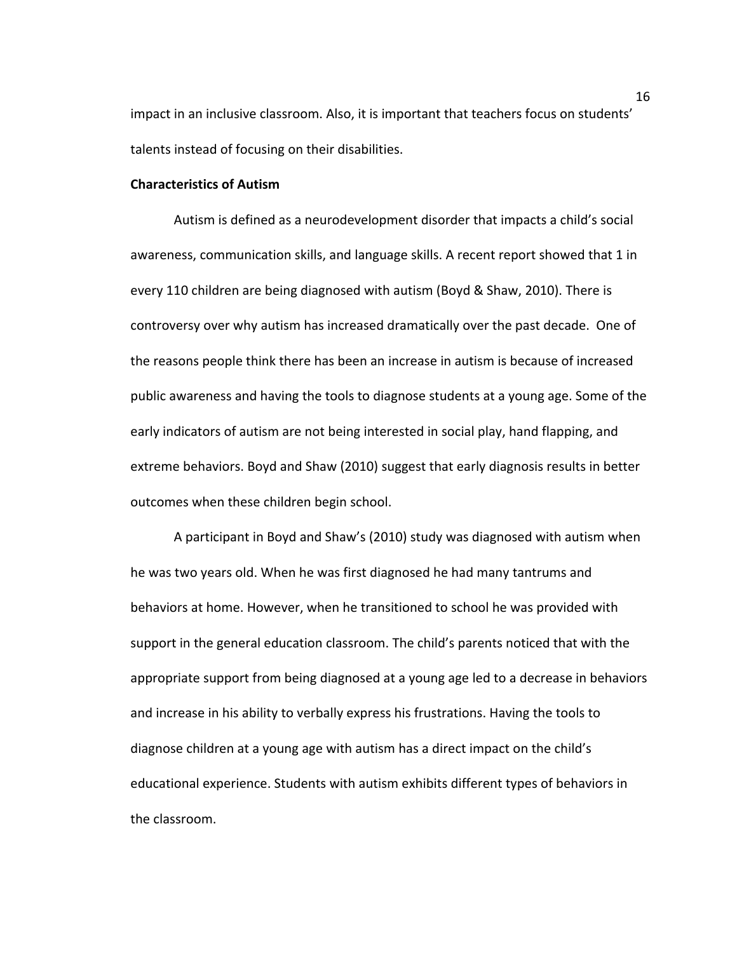impact in an inclusive classroom. Also, it is important that teachers focus on students' talents instead of focusing on their disabilities.

## **Characteristics of Autism**

Autism is defined as a neurodevelopment disorder that impacts a child's social awareness, communication skills, and language skills. A recent report showed that 1 in every 110 children are being diagnosed with autism (Boyd & Shaw, 2010). There is controversy over why autism has increased dramatically over the past decade. One of the reasons people think there has been an increase in autism is because of increased public awareness and having the tools to diagnose students at a young age. Some of the early indicators of autism are not being interested in social play, hand flapping, and extreme behaviors. Boyd and Shaw (2010) suggest that early diagnosis results in better outcomes when these children begin school.

A participant in Boyd and Shaw's (2010) study was diagnosed with autism when he was two years old. When he was first diagnosed he had many tantrums and behaviors at home. However, when he transitioned to school he was provided with support in the general education classroom. The child's parents noticed that with the appropriate support from being diagnosed at a young age led to a decrease in behaviors and increase in his ability to verbally express his frustrations. Having the tools to diagnose children at a young age with autism has a direct impact on the child's educational experience. Students with autism exhibits different types of behaviors in the classroom.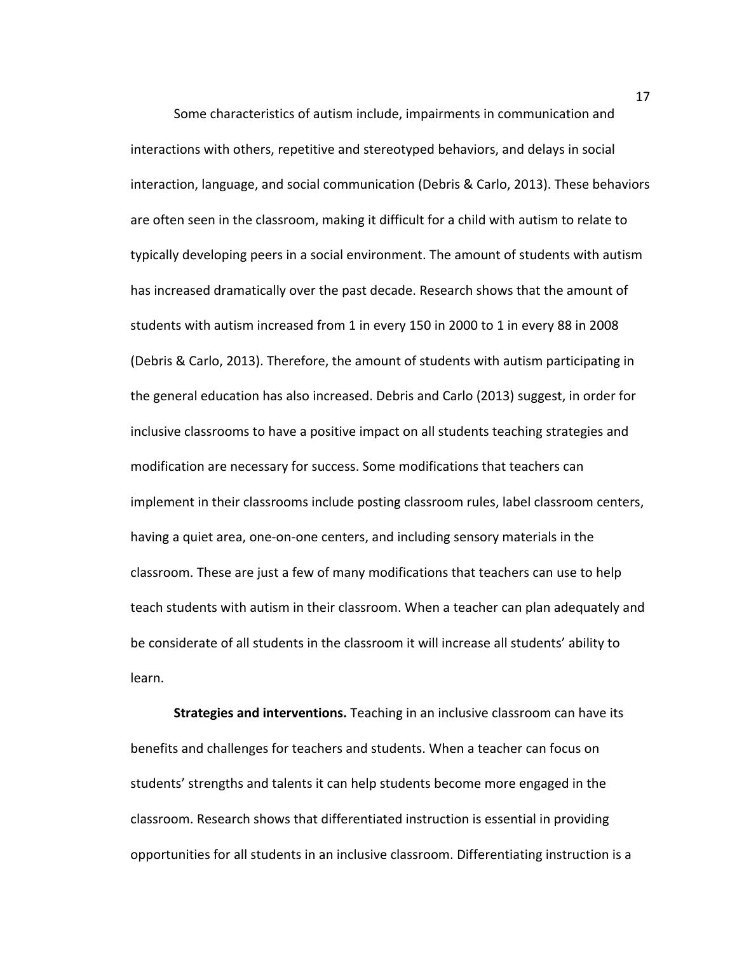Some characteristics of autism include, impairments in communication and interactions with others, repetitive and stereotyped behaviors, and delays in social interaction, language, and social communication (Debris & Carlo, 2013). These behaviors are often seen in the classroom, making it difficult for a child with autism to relate to typically developing peers in a social environment. The amount of students with autism has increased dramatically over the past decade. Research shows that the amount of students with autism increased from 1 in every 150 in 2000 to 1 in every 88 in 2008 (Debris & Carlo, 2013). Therefore, the amount of students with autism participating in the general education has also increased. Debris and Carlo (2013) suggest, in order for inclusive classrooms to have a positive impact on all students teaching strategies and modification are necessary for success. Some modifications that teachers can implement in their classrooms include posting classroom rules, label classroom centers, having a quiet area, one-on-one centers, and including sensory materials in the classroom. These are just a few of many modifications that teachers can use to help teach students with autism in their classroom. When a teacher can plan adequately and be considerate of all students in the classroom it will increase all students' ability to learn. 

**Strategies and interventions.** Teaching in an inclusive classroom can have its benefits and challenges for teachers and students. When a teacher can focus on students' strengths and talents it can help students become more engaged in the classroom. Research shows that differentiated instruction is essential in providing opportunities for all students in an inclusive classroom. Differentiating instruction is a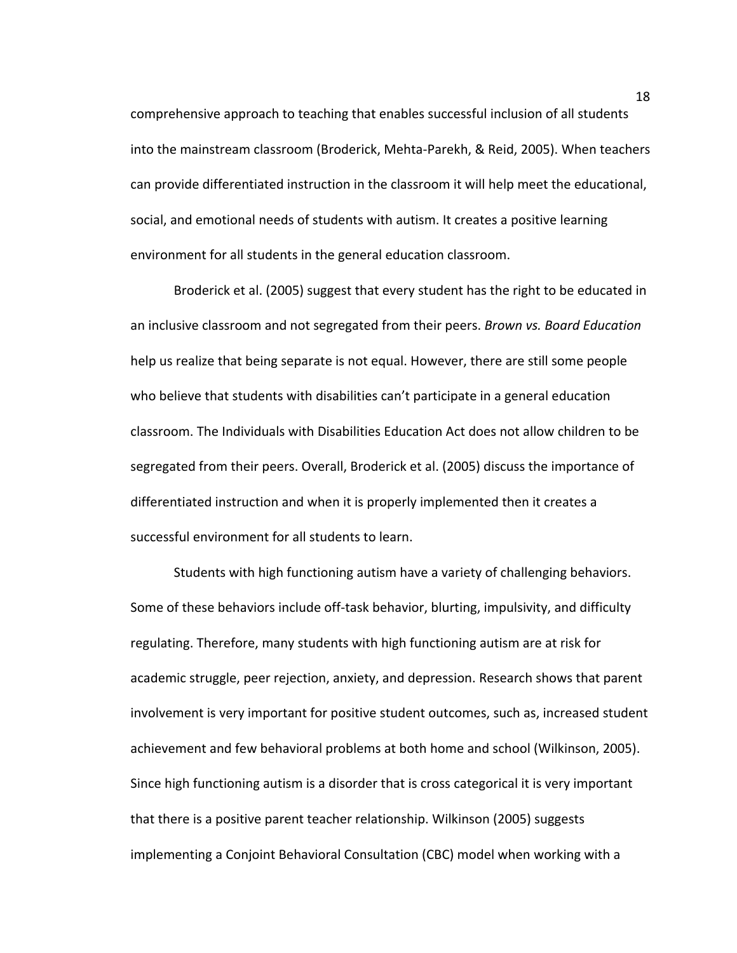comprehensive approach to teaching that enables successful inclusion of all students into the mainstream classroom (Broderick, Mehta-Parekh, & Reid, 2005). When teachers can provide differentiated instruction in the classroom it will help meet the educational, social, and emotional needs of students with autism. It creates a positive learning environment for all students in the general education classroom.

Broderick et al. (2005) suggest that every student has the right to be educated in an inclusive classroom and not segregated from their peers. *Brown vs. Board Education* help us realize that being separate is not equal. However, there are still some people who believe that students with disabilities can't participate in a general education classroom. The Individuals with Disabilities Education Act does not allow children to be segregated from their peers. Overall, Broderick et al. (2005) discuss the importance of differentiated instruction and when it is properly implemented then it creates a successful environment for all students to learn.

Students with high functioning autism have a variety of challenging behaviors. Some of these behaviors include off-task behavior, blurting, impulsivity, and difficulty regulating. Therefore, many students with high functioning autism are at risk for academic struggle, peer rejection, anxiety, and depression. Research shows that parent involvement is very important for positive student outcomes, such as, increased student achievement and few behavioral problems at both home and school (Wilkinson, 2005). Since high functioning autism is a disorder that is cross categorical it is very important that there is a positive parent teacher relationship. Wilkinson (2005) suggests implementing a Conjoint Behavioral Consultation (CBC) model when working with a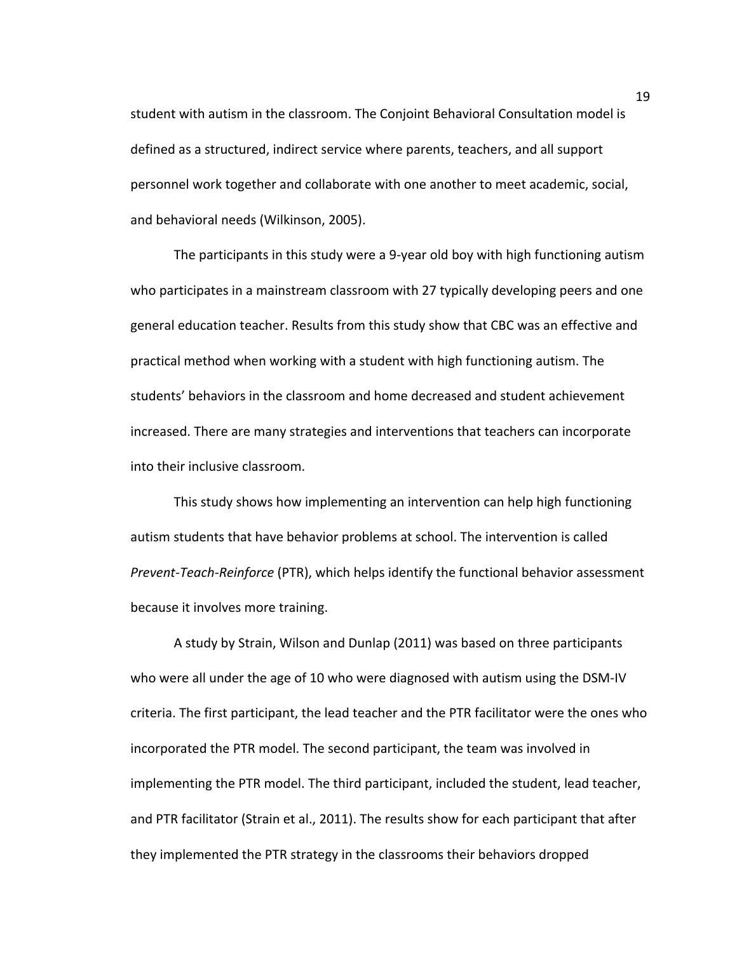student with autism in the classroom. The Conjoint Behavioral Consultation model is defined as a structured, indirect service where parents, teachers, and all support personnel work together and collaborate with one another to meet academic, social, and behavioral needs (Wilkinson, 2005).

The participants in this study were a 9-year old boy with high functioning autism who participates in a mainstream classroom with 27 typically developing peers and one general education teacher. Results from this study show that CBC was an effective and practical method when working with a student with high functioning autism. The students' behaviors in the classroom and home decreased and student achievement increased. There are many strategies and interventions that teachers can incorporate into their inclusive classroom.

This study shows how implementing an intervention can help high functioning autism students that have behavior problems at school. The intervention is called *Prevent-Teach-Reinforce* (PTR), which helps identify the functional behavior assessment because it involves more training.

A study by Strain, Wilson and Dunlap (2011) was based on three participants who were all under the age of 10 who were diagnosed with autism using the DSM-IV criteria. The first participant, the lead teacher and the PTR facilitator were the ones who incorporated the PTR model. The second participant, the team was involved in implementing the PTR model. The third participant, included the student, lead teacher, and PTR facilitator (Strain et al., 2011). The results show for each participant that after they implemented the PTR strategy in the classrooms their behaviors dropped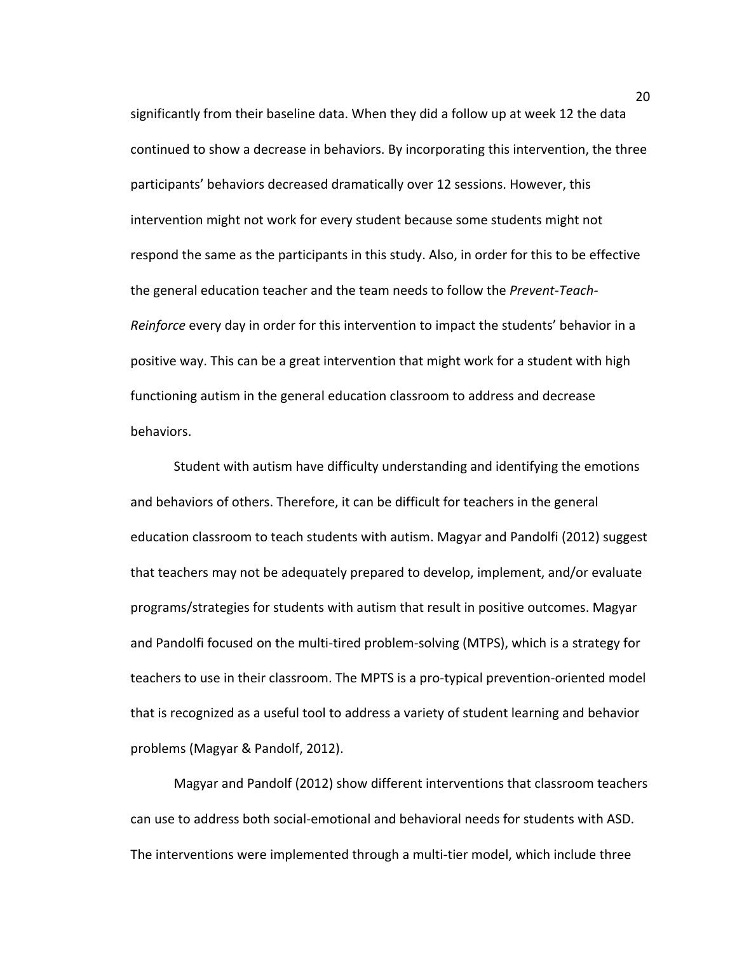significantly from their baseline data. When they did a follow up at week 12 the data continued to show a decrease in behaviors. By incorporating this intervention, the three participants' behaviors decreased dramatically over 12 sessions. However, this intervention might not work for every student because some students might not respond the same as the participants in this study. Also, in order for this to be effective the general education teacher and the team needs to follow the *Prevent-Teach-Reinforce* every day in order for this intervention to impact the students' behavior in a positive way. This can be a great intervention that might work for a student with high functioning autism in the general education classroom to address and decrease behaviors. 

Student with autism have difficulty understanding and identifying the emotions and behaviors of others. Therefore, it can be difficult for teachers in the general education classroom to teach students with autism. Magyar and Pandolfi (2012) suggest that teachers may not be adequately prepared to develop, implement, and/or evaluate programs/strategies for students with autism that result in positive outcomes. Magyar and Pandolfi focused on the multi-tired problem-solving (MTPS), which is a strategy for teachers to use in their classroom. The MPTS is a pro-typical prevention-oriented model that is recognized as a useful tool to address a variety of student learning and behavior problems (Magyar & Pandolf, 2012).

Magyar and Pandolf (2012) show different interventions that classroom teachers can use to address both social-emotional and behavioral needs for students with ASD. The interventions were implemented through a multi-tier model, which include three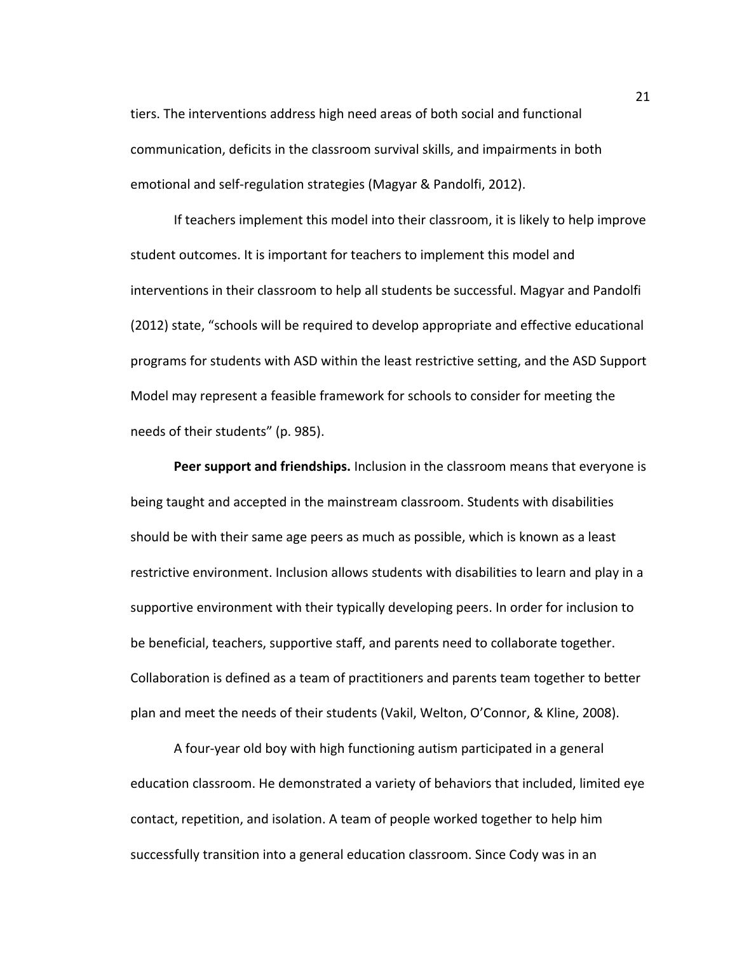tiers. The interventions address high need areas of both social and functional communication, deficits in the classroom survival skills, and impairments in both emotional and self-regulation strategies (Magyar & Pandolfi, 2012).

If teachers implement this model into their classroom, it is likely to help improve student outcomes. It is important for teachers to implement this model and interventions in their classroom to help all students be successful. Magyar and Pandolfi (2012) state, "schools will be required to develop appropriate and effective educational programs for students with ASD within the least restrictive setting, and the ASD Support Model may represent a feasible framework for schools to consider for meeting the needs of their students" (p. 985).

**Peer support and friendships.** Inclusion in the classroom means that everyone is being taught and accepted in the mainstream classroom. Students with disabilities should be with their same age peers as much as possible, which is known as a least restrictive environment. Inclusion allows students with disabilities to learn and play in a supportive environment with their typically developing peers. In order for inclusion to be beneficial, teachers, supportive staff, and parents need to collaborate together. Collaboration is defined as a team of practitioners and parents team together to better plan and meet the needs of their students (Vakil, Welton, O'Connor, & Kline, 2008).

A four-year old boy with high functioning autism participated in a general education classroom. He demonstrated a variety of behaviors that included, limited eye contact, repetition, and isolation. A team of people worked together to help him successfully transition into a general education classroom. Since Cody was in an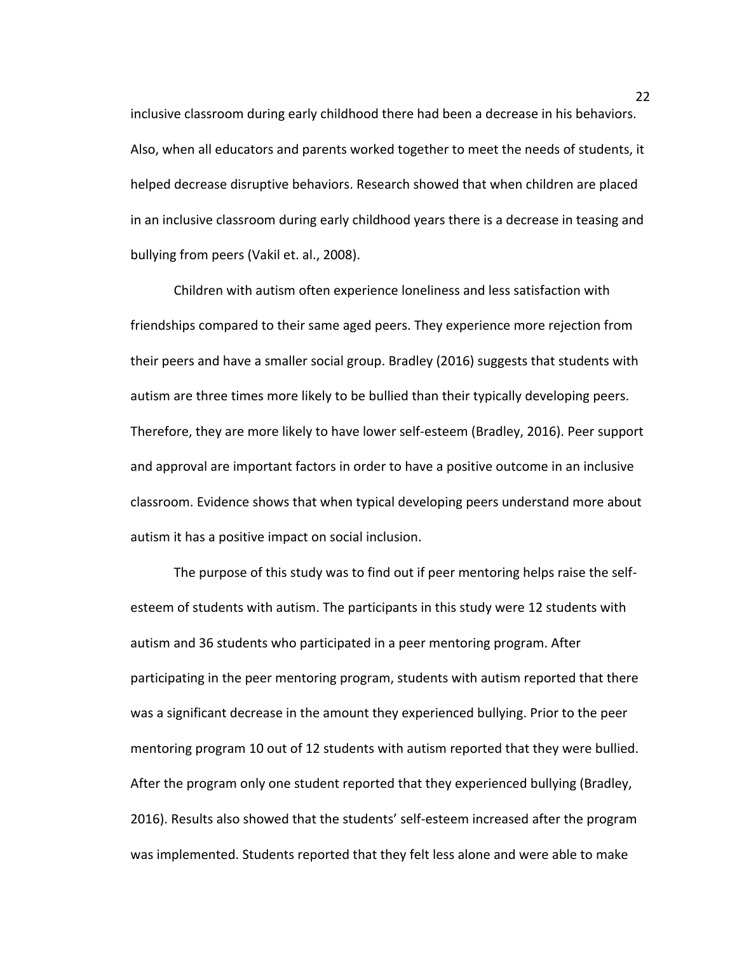inclusive classroom during early childhood there had been a decrease in his behaviors. Also, when all educators and parents worked together to meet the needs of students, it helped decrease disruptive behaviors. Research showed that when children are placed in an inclusive classroom during early childhood years there is a decrease in teasing and bullying from peers (Vakil et. al., 2008).

Children with autism often experience loneliness and less satisfaction with friendships compared to their same aged peers. They experience more rejection from their peers and have a smaller social group. Bradley (2016) suggests that students with autism are three times more likely to be bullied than their typically developing peers. Therefore, they are more likely to have lower self-esteem (Bradley, 2016). Peer support and approval are important factors in order to have a positive outcome in an inclusive classroom. Evidence shows that when typical developing peers understand more about autism it has a positive impact on social inclusion.

The purpose of this study was to find out if peer mentoring helps raise the selfesteem of students with autism. The participants in this study were 12 students with autism and 36 students who participated in a peer mentoring program. After participating in the peer mentoring program, students with autism reported that there was a significant decrease in the amount they experienced bullying. Prior to the peer mentoring program 10 out of 12 students with autism reported that they were bullied. After the program only one student reported that they experienced bullying (Bradley, 2016). Results also showed that the students' self-esteem increased after the program was implemented. Students reported that they felt less alone and were able to make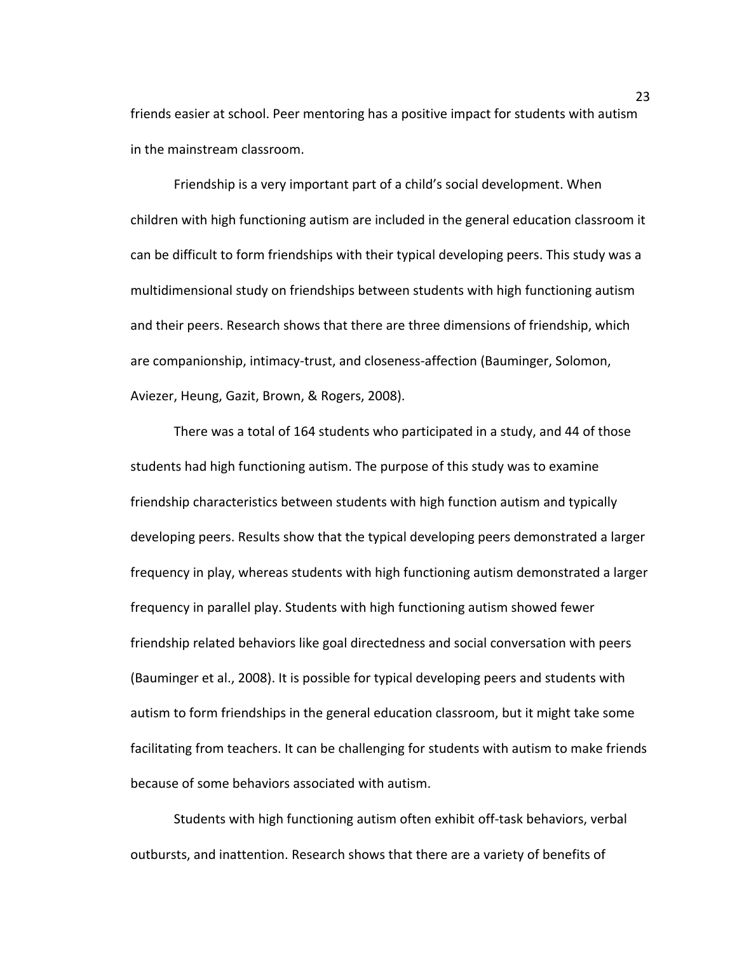friends easier at school. Peer mentoring has a positive impact for students with autism in the mainstream classroom.

Friendship is a very important part of a child's social development. When children with high functioning autism are included in the general education classroom it can be difficult to form friendships with their typical developing peers. This study was a multidimensional study on friendships between students with high functioning autism and their peers. Research shows that there are three dimensions of friendship, which are companionship, intimacy-trust, and closeness-affection (Bauminger, Solomon, Aviezer, Heung, Gazit, Brown, & Rogers, 2008).

There was a total of 164 students who participated in a study, and 44 of those students had high functioning autism. The purpose of this study was to examine friendship characteristics between students with high function autism and typically developing peers. Results show that the typical developing peers demonstrated a larger frequency in play, whereas students with high functioning autism demonstrated a larger frequency in parallel play. Students with high functioning autism showed fewer friendship related behaviors like goal directedness and social conversation with peers (Bauminger et al., 2008). It is possible for typical developing peers and students with autism to form friendships in the general education classroom, but it might take some facilitating from teachers. It can be challenging for students with autism to make friends because of some behaviors associated with autism.

Students with high functioning autism often exhibit off-task behaviors, verbal outbursts, and inattention. Research shows that there are a variety of benefits of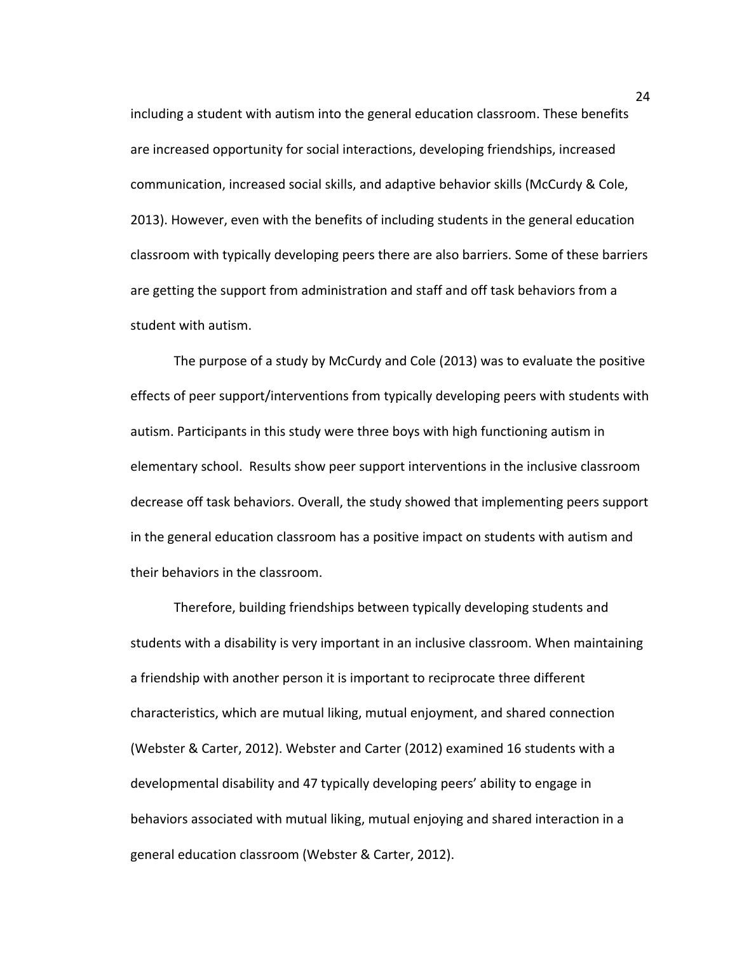including a student with autism into the general education classroom. These benefits are increased opportunity for social interactions, developing friendships, increased communication, increased social skills, and adaptive behavior skills (McCurdy & Cole, 2013). However, even with the benefits of including students in the general education classroom with typically developing peers there are also barriers. Some of these barriers are getting the support from administration and staff and off task behaviors from a student with autism.

The purpose of a study by McCurdy and Cole (2013) was to evaluate the positive effects of peer support/interventions from typically developing peers with students with autism. Participants in this study were three boys with high functioning autism in elementary school. Results show peer support interventions in the inclusive classroom decrease off task behaviors. Overall, the study showed that implementing peers support in the general education classroom has a positive impact on students with autism and their behaviors in the classroom.

Therefore, building friendships between typically developing students and students with a disability is very important in an inclusive classroom. When maintaining a friendship with another person it is important to reciprocate three different characteristics, which are mutual liking, mutual enjoyment, and shared connection (Webster & Carter, 2012). Webster and Carter (2012) examined 16 students with a developmental disability and 47 typically developing peers' ability to engage in behaviors associated with mutual liking, mutual enjoying and shared interaction in a general education classroom (Webster & Carter, 2012).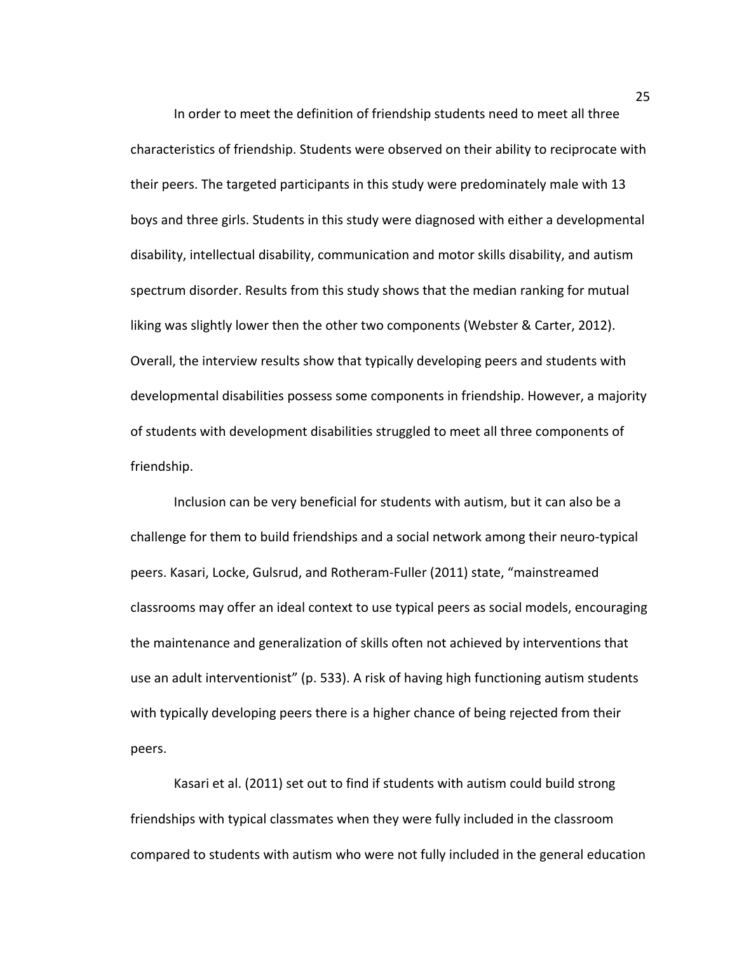In order to meet the definition of friendship students need to meet all three characteristics of friendship. Students were observed on their ability to reciprocate with their peers. The targeted participants in this study were predominately male with 13 boys and three girls. Students in this study were diagnosed with either a developmental disability, intellectual disability, communication and motor skills disability, and autism spectrum disorder. Results from this study shows that the median ranking for mutual liking was slightly lower then the other two components (Webster & Carter, 2012). Overall, the interview results show that typically developing peers and students with developmental disabilities possess some components in friendship. However, a majority of students with development disabilities struggled to meet all three components of friendship. 

Inclusion can be very beneficial for students with autism, but it can also be a challenge for them to build friendships and a social network among their neuro-typical peers. Kasari, Locke, Gulsrud, and Rotheram-Fuller (2011) state, "mainstreamed classrooms may offer an ideal context to use typical peers as social models, encouraging the maintenance and generalization of skills often not achieved by interventions that use an adult interventionist" (p. 533). A risk of having high functioning autism students with typically developing peers there is a higher chance of being rejected from their peers.

Kasari et al. (2011) set out to find if students with autism could build strong friendships with typical classmates when they were fully included in the classroom compared to students with autism who were not fully included in the general education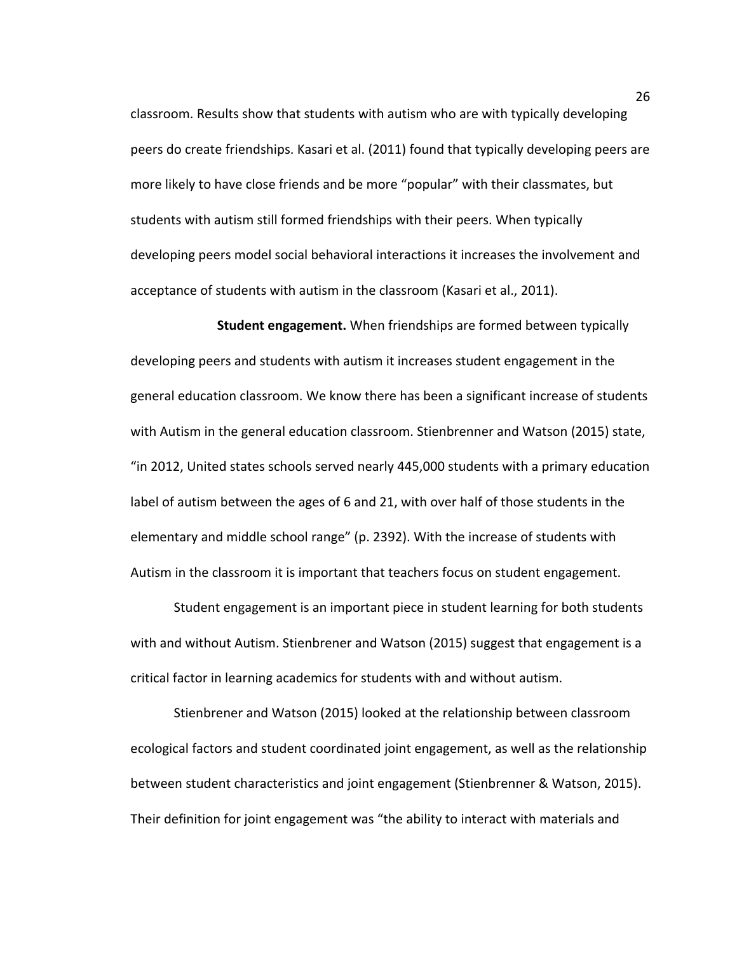classroom. Results show that students with autism who are with typically developing peers do create friendships. Kasari et al. (2011) found that typically developing peers are more likely to have close friends and be more "popular" with their classmates, but students with autism still formed friendships with their peers. When typically developing peers model social behavioral interactions it increases the involvement and acceptance of students with autism in the classroom (Kasari et al., 2011).

**Student engagement.** When friendships are formed between typically developing peers and students with autism it increases student engagement in the general education classroom. We know there has been a significant increase of students with Autism in the general education classroom. Stienbrenner and Watson (2015) state, "in 2012, United states schools served nearly 445,000 students with a primary education label of autism between the ages of 6 and 21, with over half of those students in the elementary and middle school range" (p. 2392). With the increase of students with Autism in the classroom it is important that teachers focus on student engagement.

Student engagement is an important piece in student learning for both students with and without Autism. Stienbrener and Watson (2015) suggest that engagement is a critical factor in learning academics for students with and without autism.

Stienbrener and Watson (2015) looked at the relationship between classroom ecological factors and student coordinated joint engagement, as well as the relationship between student characteristics and joint engagement (Stienbrenner & Watson, 2015). Their definition for joint engagement was "the ability to interact with materials and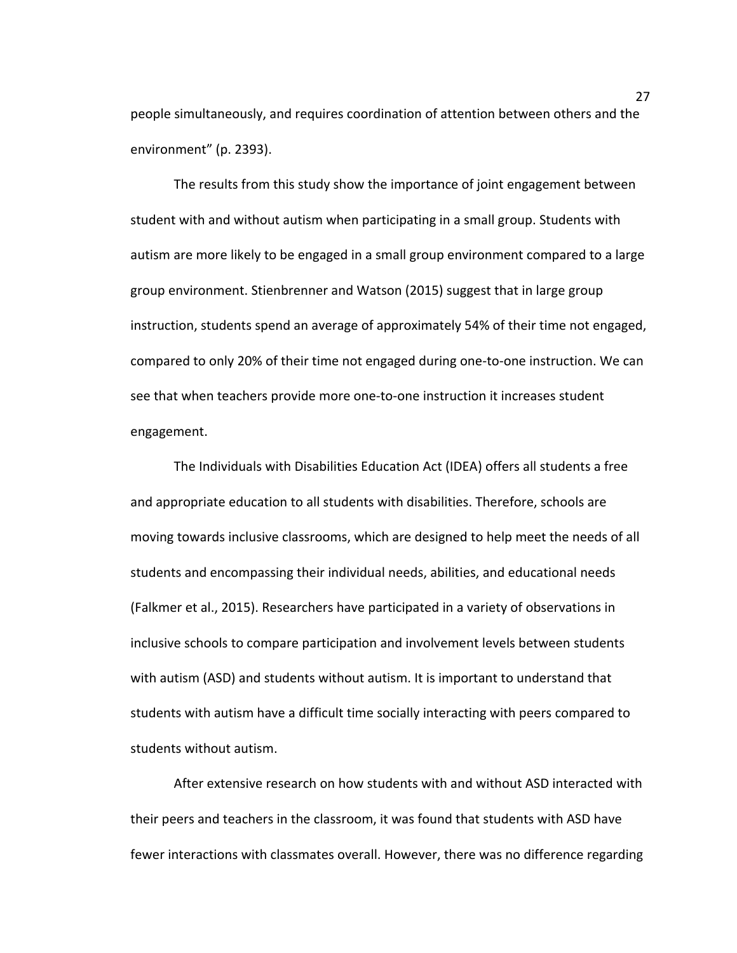people simultaneously, and requires coordination of attention between others and the environment" (p. 2393).

The results from this study show the importance of joint engagement between student with and without autism when participating in a small group. Students with autism are more likely to be engaged in a small group environment compared to a large group environment. Stienbrenner and Watson (2015) suggest that in large group instruction, students spend an average of approximately 54% of their time not engaged, compared to only 20% of their time not engaged during one-to-one instruction. We can see that when teachers provide more one-to-one instruction it increases student engagement. 

The Individuals with Disabilities Education Act (IDEA) offers all students a free and appropriate education to all students with disabilities. Therefore, schools are moving towards inclusive classrooms, which are designed to help meet the needs of all students and encompassing their individual needs, abilities, and educational needs (Falkmer et al., 2015). Researchers have participated in a variety of observations in inclusive schools to compare participation and involvement levels between students with autism (ASD) and students without autism. It is important to understand that students with autism have a difficult time socially interacting with peers compared to students without autism.

After extensive research on how students with and without ASD interacted with their peers and teachers in the classroom, it was found that students with ASD have fewer interactions with classmates overall. However, there was no difference regarding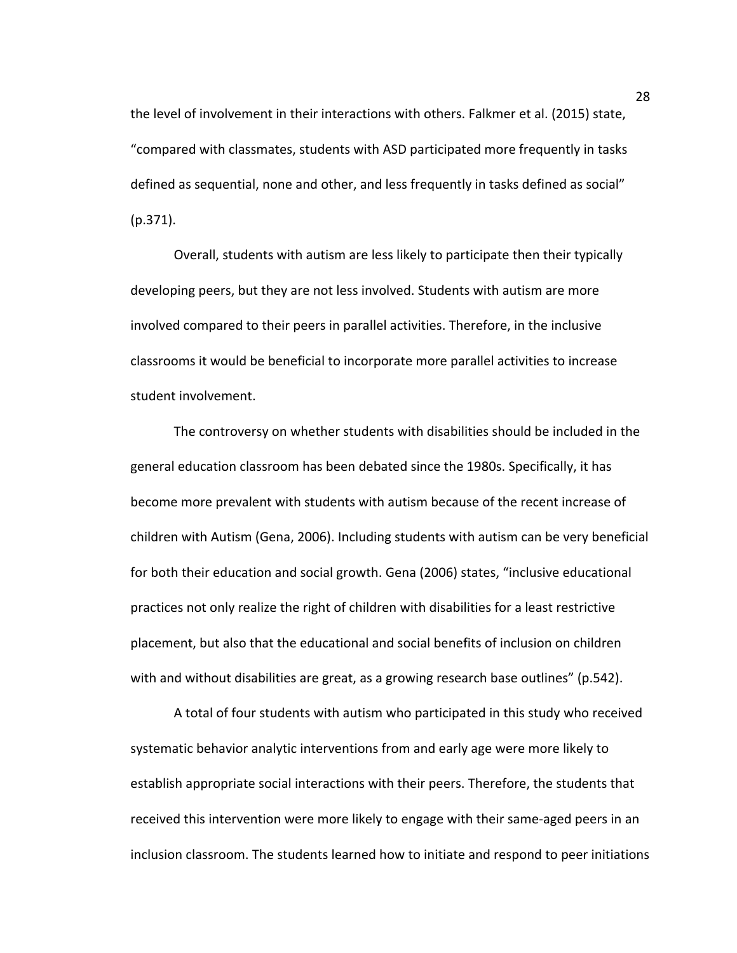the level of involvement in their interactions with others. Falkmer et al. (2015) state, "compared with classmates, students with ASD participated more frequently in tasks defined as sequential, none and other, and less frequently in tasks defined as social" (p.371). 

Overall, students with autism are less likely to participate then their typically developing peers, but they are not less involved. Students with autism are more involved compared to their peers in parallel activities. Therefore, in the inclusive classrooms it would be beneficial to incorporate more parallel activities to increase student involvement.

The controversy on whether students with disabilities should be included in the general education classroom has been debated since the 1980s. Specifically, it has become more prevalent with students with autism because of the recent increase of children with Autism (Gena, 2006). Including students with autism can be very beneficial for both their education and social growth. Gena (2006) states, "inclusive educational practices not only realize the right of children with disabilities for a least restrictive placement, but also that the educational and social benefits of inclusion on children with and without disabilities are great, as a growing research base outlines" (p.542).

A total of four students with autism who participated in this study who received systematic behavior analytic interventions from and early age were more likely to establish appropriate social interactions with their peers. Therefore, the students that received this intervention were more likely to engage with their same-aged peers in an inclusion classroom. The students learned how to initiate and respond to peer initiations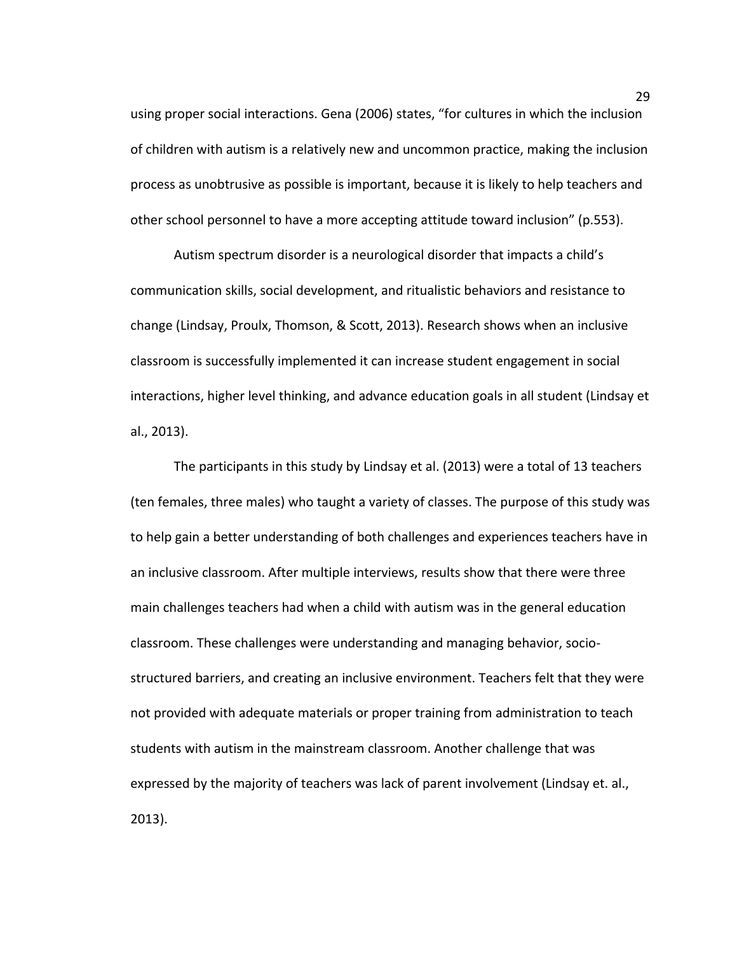using proper social interactions. Gena (2006) states, "for cultures in which the inclusion of children with autism is a relatively new and uncommon practice, making the inclusion process as unobtrusive as possible is important, because it is likely to help teachers and other school personnel to have a more accepting attitude toward inclusion" (p.553).

Autism spectrum disorder is a neurological disorder that impacts a child's communication skills, social development, and ritualistic behaviors and resistance to change (Lindsay, Proulx, Thomson, & Scott, 2013). Research shows when an inclusive classroom is successfully implemented it can increase student engagement in social interactions, higher level thinking, and advance education goals in all student (Lindsay et al., 2013). 

The participants in this study by Lindsay et al. (2013) were a total of 13 teachers (ten females, three males) who taught a variety of classes. The purpose of this study was to help gain a better understanding of both challenges and experiences teachers have in an inclusive classroom. After multiple interviews, results show that there were three main challenges teachers had when a child with autism was in the general education classroom. These challenges were understanding and managing behavior, sociostructured barriers, and creating an inclusive environment. Teachers felt that they were not provided with adequate materials or proper training from administration to teach students with autism in the mainstream classroom. Another challenge that was expressed by the majority of teachers was lack of parent involvement (Lindsay et. al., 2013).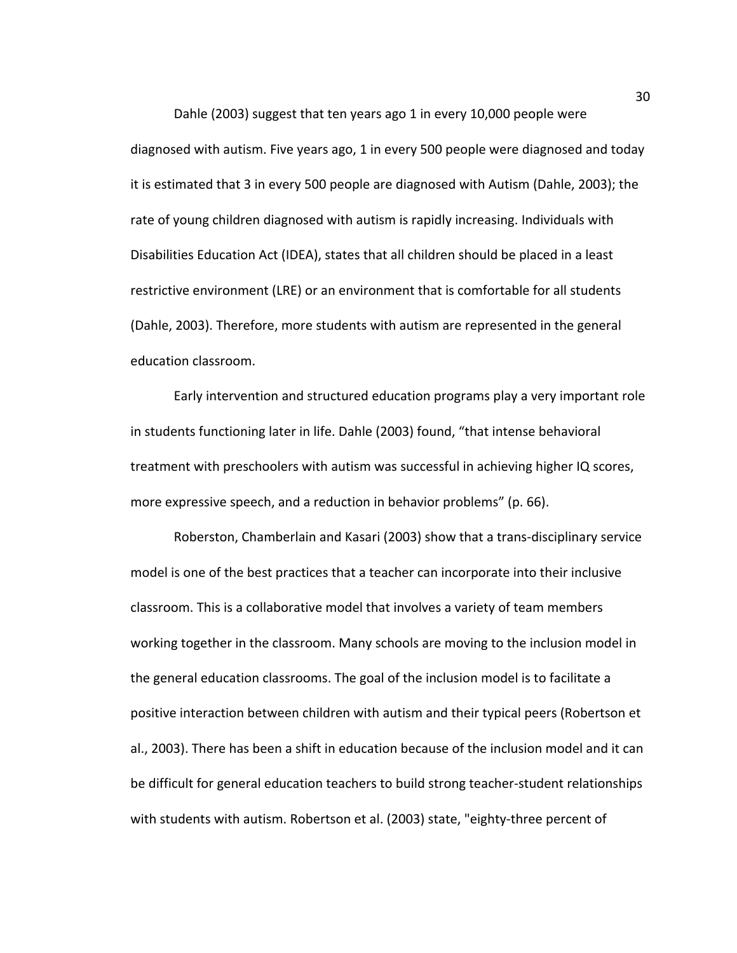Dahle (2003) suggest that ten years ago 1 in every 10,000 people were diagnosed with autism. Five years ago, 1 in every 500 people were diagnosed and today it is estimated that 3 in every 500 people are diagnosed with Autism (Dahle, 2003); the rate of young children diagnosed with autism is rapidly increasing. Individuals with Disabilities Education Act (IDEA), states that all children should be placed in a least restrictive environment (LRE) or an environment that is comfortable for all students (Dahle, 2003). Therefore, more students with autism are represented in the general education classroom.

Early intervention and structured education programs play a very important role in students functioning later in life. Dahle (2003) found, "that intense behavioral treatment with preschoolers with autism was successful in achieving higher IQ scores, more expressive speech, and a reduction in behavior problems" (p. 66).

Roberston, Chamberlain and Kasari (2003) show that a trans-disciplinary service model is one of the best practices that a teacher can incorporate into their inclusive classroom. This is a collaborative model that involves a variety of team members working together in the classroom. Many schools are moving to the inclusion model in the general education classrooms. The goal of the inclusion model is to facilitate a positive interaction between children with autism and their typical peers (Robertson et al., 2003). There has been a shift in education because of the inclusion model and it can be difficult for general education teachers to build strong teacher-student relationships with students with autism. Robertson et al. (2003) state, "eighty-three percent of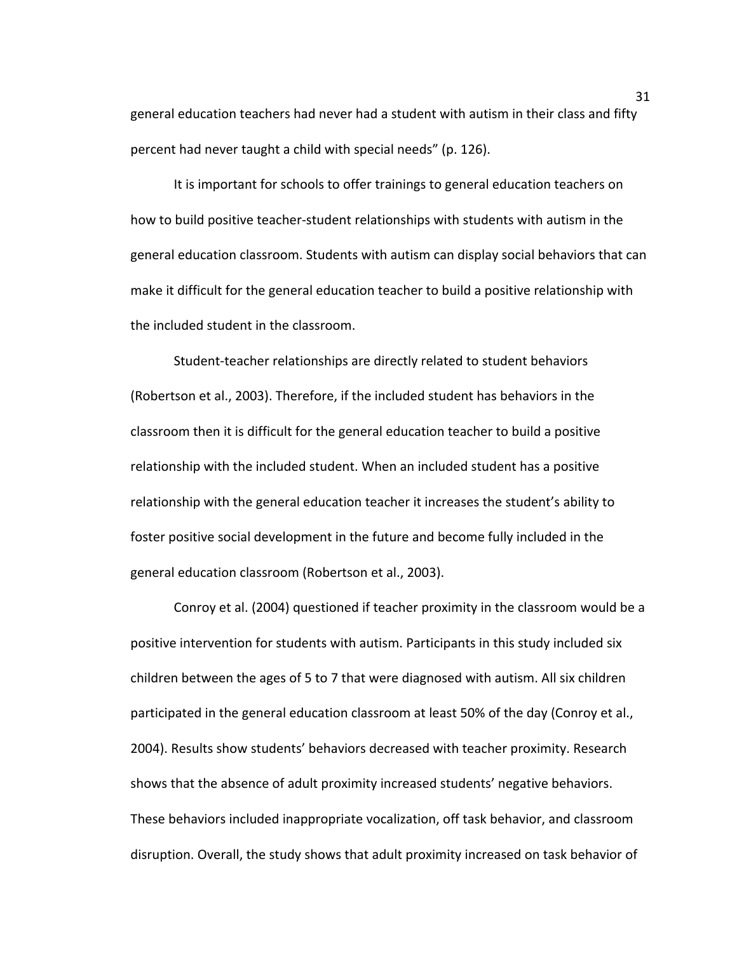general education teachers had never had a student with autism in their class and fifty percent had never taught a child with special needs" (p. 126).

It is important for schools to offer trainings to general education teachers on how to build positive teacher-student relationships with students with autism in the general education classroom. Students with autism can display social behaviors that can make it difficult for the general education teacher to build a positive relationship with the included student in the classroom.

Student-teacher relationships are directly related to student behaviors (Robertson et al., 2003). Therefore, if the included student has behaviors in the classroom then it is difficult for the general education teacher to build a positive relationship with the included student. When an included student has a positive relationship with the general education teacher it increases the student's ability to foster positive social development in the future and become fully included in the general education classroom (Robertson et al., 2003).

Conroy et al. (2004) questioned if teacher proximity in the classroom would be a positive intervention for students with autism. Participants in this study included six children between the ages of 5 to 7 that were diagnosed with autism. All six children participated in the general education classroom at least 50% of the day (Conroy et al., 2004). Results show students' behaviors decreased with teacher proximity. Research shows that the absence of adult proximity increased students' negative behaviors. These behaviors included inappropriate vocalization, off task behavior, and classroom disruption. Overall, the study shows that adult proximity increased on task behavior of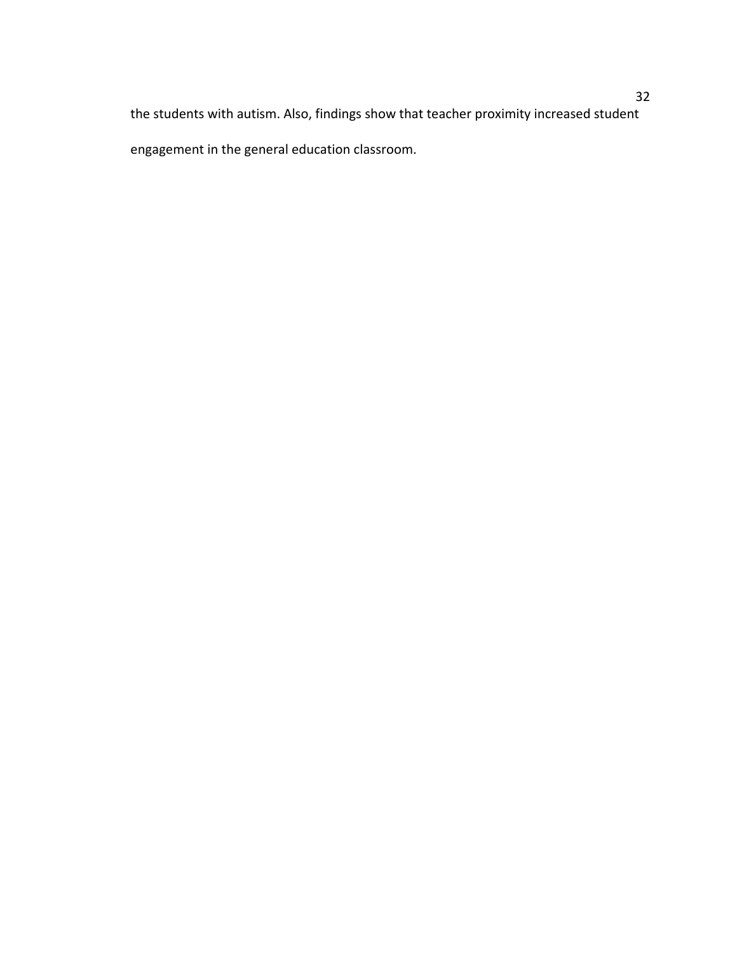the students with autism. Also, findings show that teacher proximity increased student engagement in the general education classroom.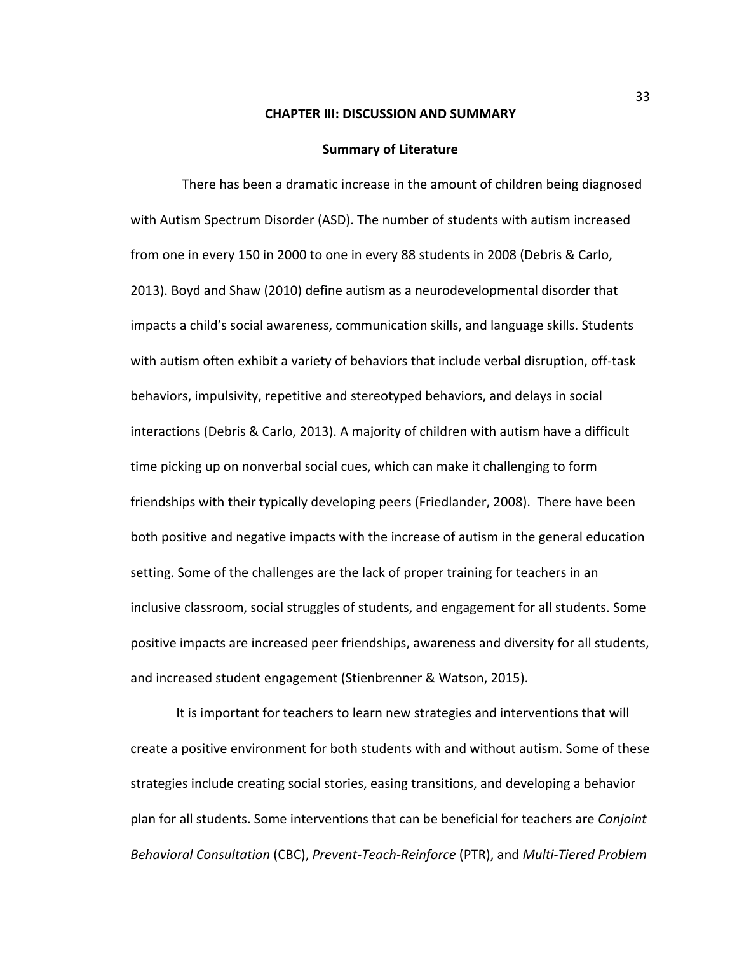#### **CHAPTER III: DISCUSSION AND SUMMARY**

#### **Summary of Literature**

There has been a dramatic increase in the amount of children being diagnosed with Autism Spectrum Disorder (ASD). The number of students with autism increased from one in every 150 in 2000 to one in every 88 students in 2008 (Debris & Carlo, 2013). Boyd and Shaw (2010) define autism as a neurodevelopmental disorder that impacts a child's social awareness, communication skills, and language skills. Students with autism often exhibit a variety of behaviors that include verbal disruption, off-task behaviors, impulsivity, repetitive and stereotyped behaviors, and delays in social interactions (Debris & Carlo, 2013). A majority of children with autism have a difficult time picking up on nonverbal social cues, which can make it challenging to form friendships with their typically developing peers (Friedlander, 2008). There have been both positive and negative impacts with the increase of autism in the general education setting. Some of the challenges are the lack of proper training for teachers in an inclusive classroom, social struggles of students, and engagement for all students. Some positive impacts are increased peer friendships, awareness and diversity for all students, and increased student engagement (Stienbrenner & Watson, 2015).

It is important for teachers to learn new strategies and interventions that will create a positive environment for both students with and without autism. Some of these strategies include creating social stories, easing transitions, and developing a behavior plan for all students. Some interventions that can be beneficial for teachers are *Conjoint Behavioral Consultation* (CBC), *Prevent-Teach-Reinforce* (PTR), and *Multi-Tiered Problem*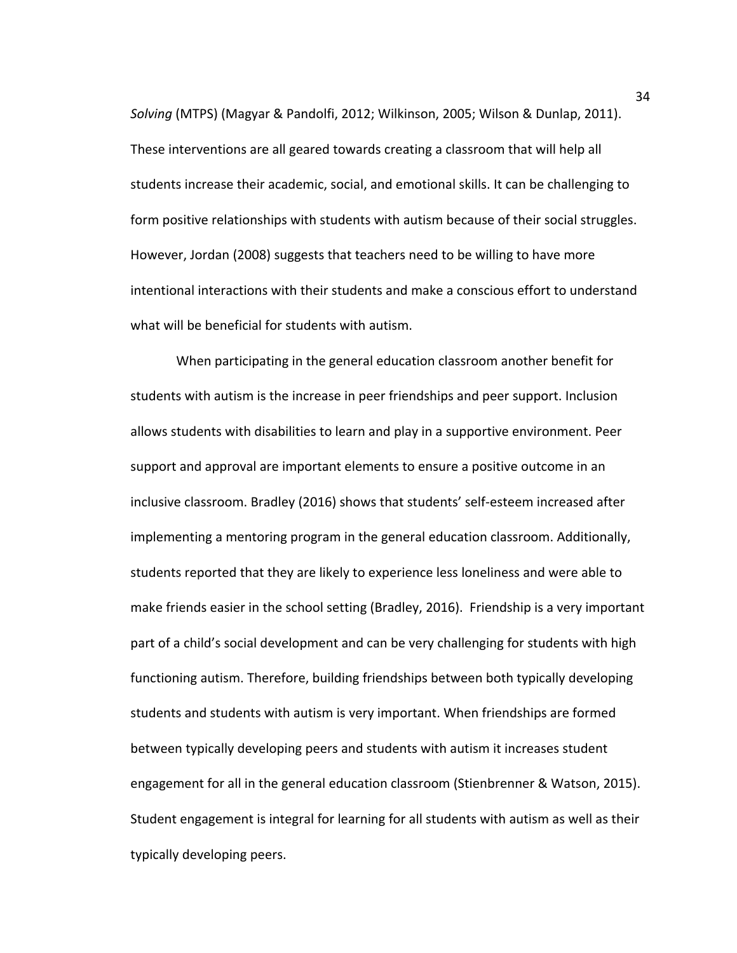*Solving* (MTPS) (Magyar & Pandolfi, 2012; Wilkinson, 2005; Wilson & Dunlap, 2011). These interventions are all geared towards creating a classroom that will help all students increase their academic, social, and emotional skills. It can be challenging to form positive relationships with students with autism because of their social struggles. However, Jordan (2008) suggests that teachers need to be willing to have more intentional interactions with their students and make a conscious effort to understand what will be beneficial for students with autism.

When participating in the general education classroom another benefit for students with autism is the increase in peer friendships and peer support. Inclusion allows students with disabilities to learn and play in a supportive environment. Peer support and approval are important elements to ensure a positive outcome in an inclusive classroom. Bradley (2016) shows that students' self-esteem increased after implementing a mentoring program in the general education classroom. Additionally, students reported that they are likely to experience less loneliness and were able to make friends easier in the school setting (Bradley, 2016). Friendship is a very important part of a child's social development and can be very challenging for students with high functioning autism. Therefore, building friendships between both typically developing students and students with autism is very important. When friendships are formed between typically developing peers and students with autism it increases student engagement for all in the general education classroom (Stienbrenner & Watson, 2015). Student engagement is integral for learning for all students with autism as well as their typically developing peers.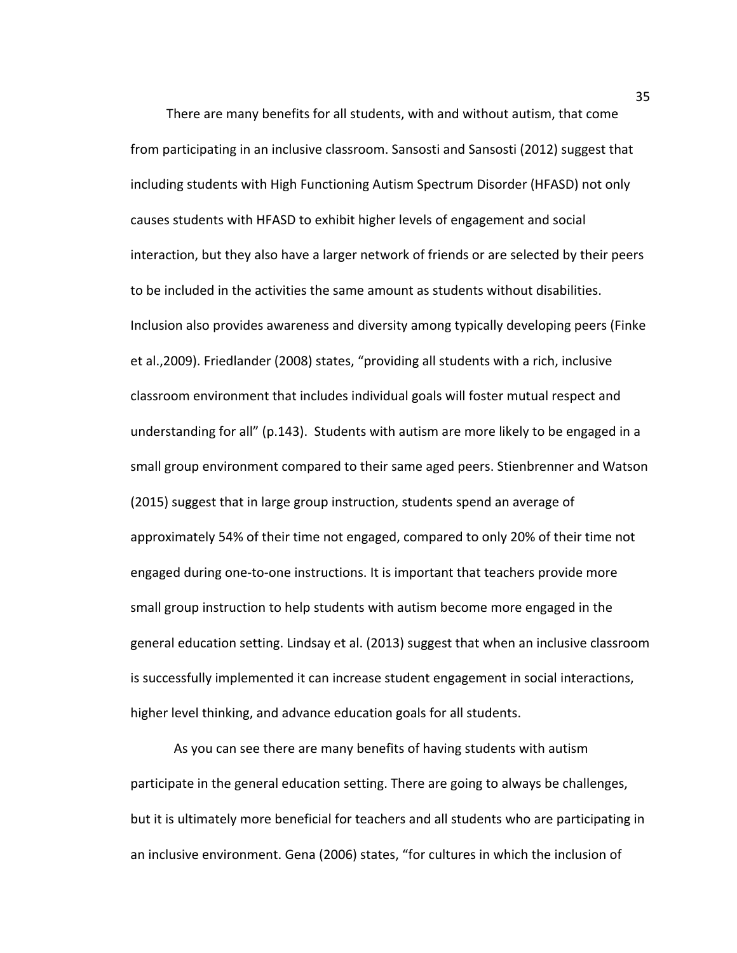There are many benefits for all students, with and without autism, that come from participating in an inclusive classroom. Sansosti and Sansosti (2012) suggest that including students with High Functioning Autism Spectrum Disorder (HFASD) not only causes students with HFASD to exhibit higher levels of engagement and social interaction, but they also have a larger network of friends or are selected by their peers to be included in the activities the same amount as students without disabilities. Inclusion also provides awareness and diversity among typically developing peers (Finke et al.,2009). Friedlander (2008) states, "providing all students with a rich, inclusive classroom environment that includes individual goals will foster mutual respect and understanding for all" (p.143). Students with autism are more likely to be engaged in a small group environment compared to their same aged peers. Stienbrenner and Watson (2015) suggest that in large group instruction, students spend an average of approximately 54% of their time not engaged, compared to only 20% of their time not engaged during one-to-one instructions. It is important that teachers provide more small group instruction to help students with autism become more engaged in the general education setting. Lindsay et al. (2013) suggest that when an inclusive classroom is successfully implemented it can increase student engagement in social interactions, higher level thinking, and advance education goals for all students.

As you can see there are many benefits of having students with autism participate in the general education setting. There are going to always be challenges, but it is ultimately more beneficial for teachers and all students who are participating in an inclusive environment. Gena (2006) states, "for cultures in which the inclusion of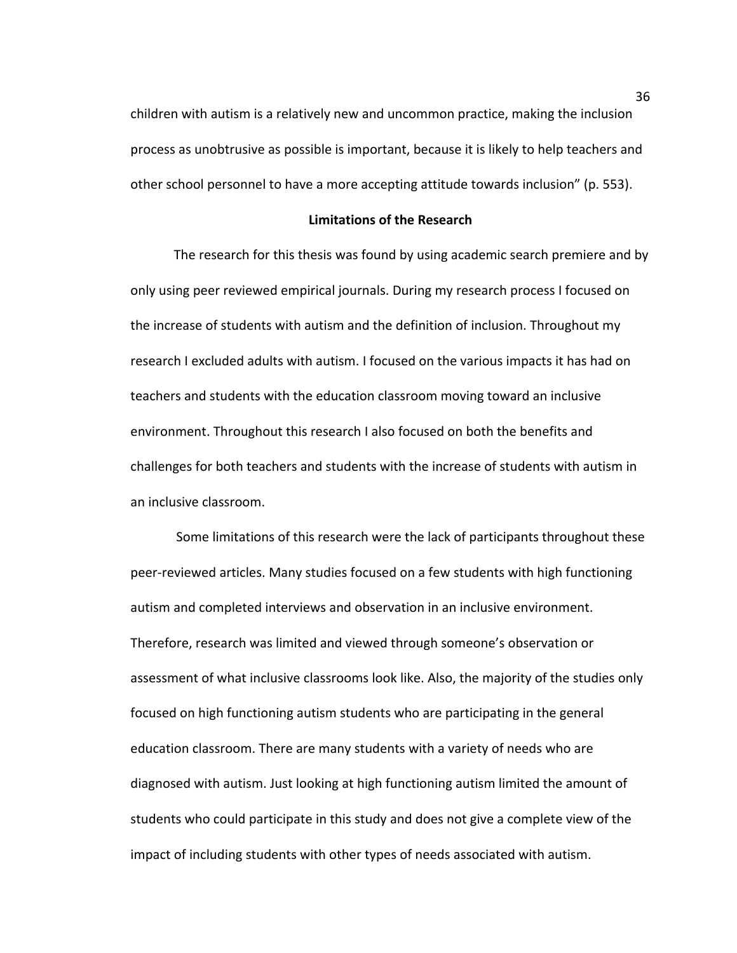children with autism is a relatively new and uncommon practice, making the inclusion process as unobtrusive as possible is important, because it is likely to help teachers and other school personnel to have a more accepting attitude towards inclusion" (p. 553).

## **Limitations of the Research**

The research for this thesis was found by using academic search premiere and by only using peer reviewed empirical journals. During my research process I focused on the increase of students with autism and the definition of inclusion. Throughout my research I excluded adults with autism. I focused on the various impacts it has had on teachers and students with the education classroom moving toward an inclusive environment. Throughout this research I also focused on both the benefits and challenges for both teachers and students with the increase of students with autism in an inclusive classroom.

Some limitations of this research were the lack of participants throughout these peer-reviewed articles. Many studies focused on a few students with high functioning autism and completed interviews and observation in an inclusive environment. Therefore, research was limited and viewed through someone's observation or assessment of what inclusive classrooms look like. Also, the majority of the studies only focused on high functioning autism students who are participating in the general education classroom. There are many students with a variety of needs who are diagnosed with autism. Just looking at high functioning autism limited the amount of students who could participate in this study and does not give a complete view of the impact of including students with other types of needs associated with autism.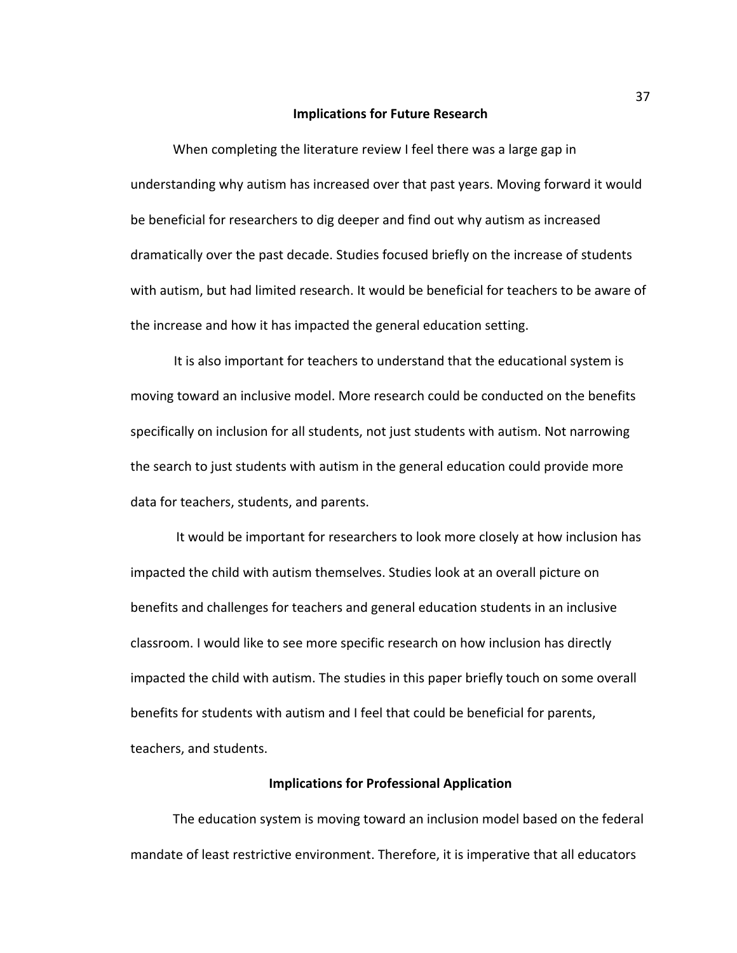#### **Implications for Future Research**

When completing the literature review I feel there was a large gap in understanding why autism has increased over that past years. Moving forward it would be beneficial for researchers to dig deeper and find out why autism as increased dramatically over the past decade. Studies focused briefly on the increase of students with autism, but had limited research. It would be beneficial for teachers to be aware of the increase and how it has impacted the general education setting.

It is also important for teachers to understand that the educational system is moving toward an inclusive model. More research could be conducted on the benefits specifically on inclusion for all students, not just students with autism. Not narrowing the search to just students with autism in the general education could provide more data for teachers, students, and parents.

It would be important for researchers to look more closely at how inclusion has impacted the child with autism themselves. Studies look at an overall picture on benefits and challenges for teachers and general education students in an inclusive classroom. I would like to see more specific research on how inclusion has directly impacted the child with autism. The studies in this paper briefly touch on some overall benefits for students with autism and I feel that could be beneficial for parents, teachers, and students.

### **Implications for Professional Application**

The education system is moving toward an inclusion model based on the federal mandate of least restrictive environment. Therefore, it is imperative that all educators

37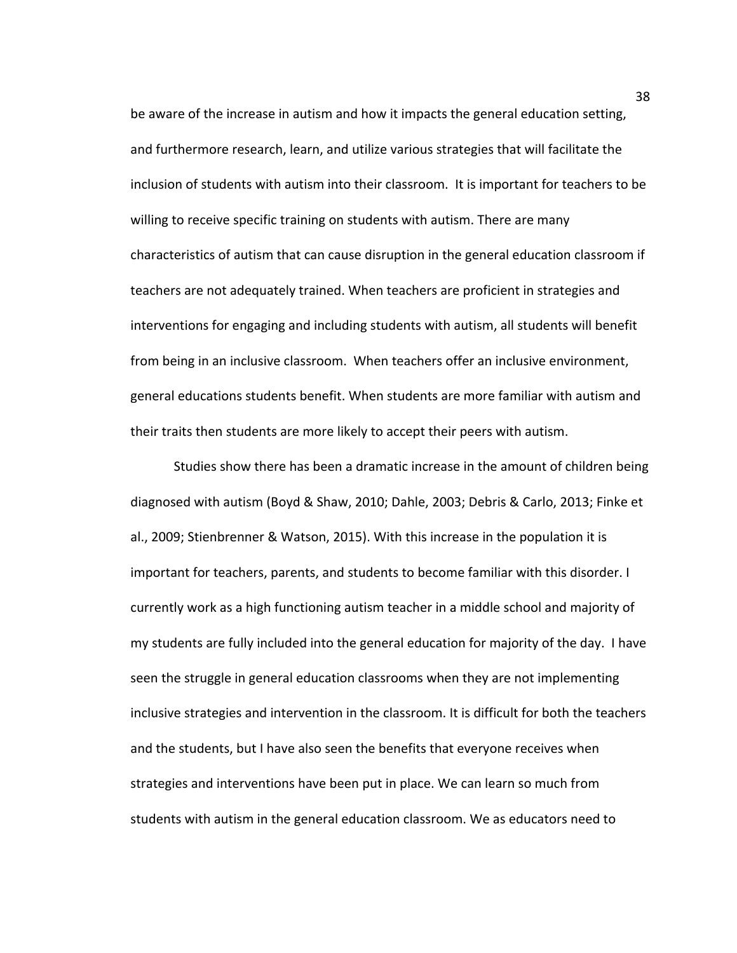be aware of the increase in autism and how it impacts the general education setting, and furthermore research, learn, and utilize various strategies that will facilitate the inclusion of students with autism into their classroom. It is important for teachers to be willing to receive specific training on students with autism. There are many characteristics of autism that can cause disruption in the general education classroom if teachers are not adequately trained. When teachers are proficient in strategies and interventions for engaging and including students with autism, all students will benefit from being in an inclusive classroom. When teachers offer an inclusive environment, general educations students benefit. When students are more familiar with autism and their traits then students are more likely to accept their peers with autism.

Studies show there has been a dramatic increase in the amount of children being diagnosed with autism (Boyd & Shaw, 2010; Dahle, 2003; Debris & Carlo, 2013; Finke et al., 2009; Stienbrenner & Watson, 2015). With this increase in the population it is important for teachers, parents, and students to become familiar with this disorder. I currently work as a high functioning autism teacher in a middle school and majority of my students are fully included into the general education for majority of the day. I have seen the struggle in general education classrooms when they are not implementing inclusive strategies and intervention in the classroom. It is difficult for both the teachers and the students, but I have also seen the benefits that everyone receives when strategies and interventions have been put in place. We can learn so much from students with autism in the general education classroom. We as educators need to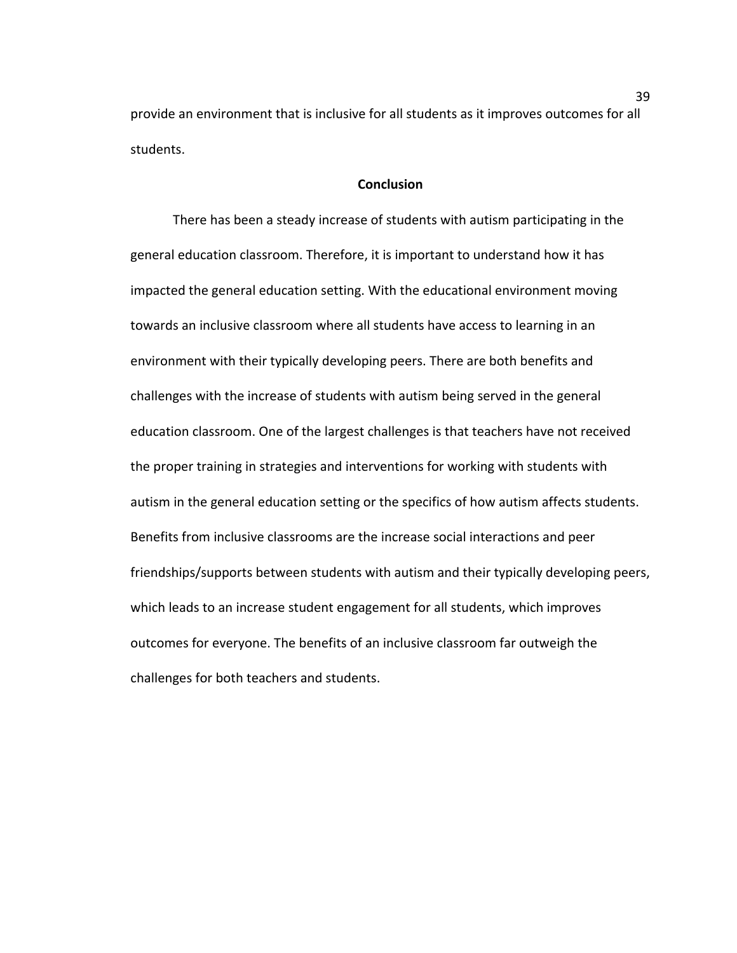provide an environment that is inclusive for all students as it improves outcomes for all students. 

## **Conclusion**

There has been a steady increase of students with autism participating in the general education classroom. Therefore, it is important to understand how it has impacted the general education setting. With the educational environment moving towards an inclusive classroom where all students have access to learning in an environment with their typically developing peers. There are both benefits and challenges with the increase of students with autism being served in the general education classroom. One of the largest challenges is that teachers have not received the proper training in strategies and interventions for working with students with autism in the general education setting or the specifics of how autism affects students. Benefits from inclusive classrooms are the increase social interactions and peer friendships/supports between students with autism and their typically developing peers, which leads to an increase student engagement for all students, which improves outcomes for everyone. The benefits of an inclusive classroom far outweigh the challenges for both teachers and students.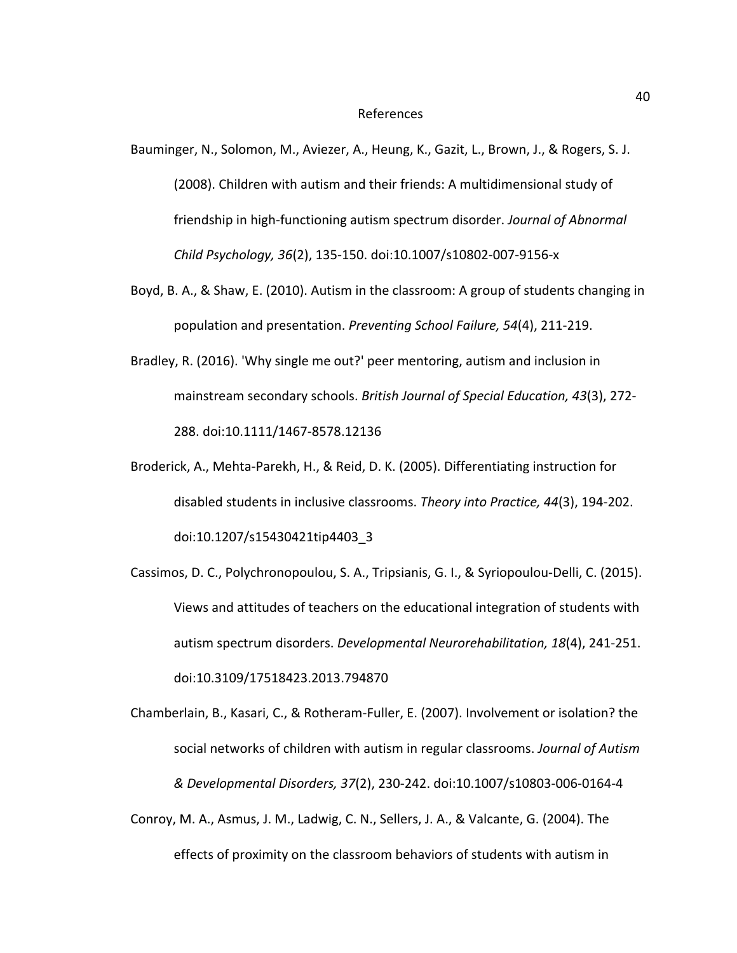#### References

Bauminger, N., Solomon, M., Aviezer, A., Heung, K., Gazit, L., Brown, J., & Rogers, S. J. (2008). Children with autism and their friends: A multidimensional study of friendship in high-functioning autism spectrum disorder. *Journal of Abnormal Child Psychology, 36*(2), 135-150. doi:10.1007/s10802-007-9156-x

- Boyd, B. A., & Shaw, E. (2010). Autism in the classroom: A group of students changing in population and presentation. Preventing School Failure, 54(4), 211-219.
- Bradley, R. (2016). 'Why single me out?' peer mentoring, autism and inclusion in mainstream secondary schools. *British Journal of Special Education, 43*(3), 272-288. doi:10.1111/1467-8578.12136
- Broderick, A., Mehta-Parekh, H., & Reid, D. K. (2005). Differentiating instruction for disabled students in inclusive classrooms. *Theory into Practice, 44*(3), 194-202. doi:10.1207/s15430421tip4403\_3
- Cassimos, D. C., Polychronopoulou, S. A., Tripsianis, G. I., & Syriopoulou-Delli, C. (2015). Views and attitudes of teachers on the educational integration of students with autism spectrum disorders. *Developmental Neurorehabilitation*, 18(4), 241-251. doi:10.3109/17518423.2013.794870
- Chamberlain, B., Kasari, C., & Rotheram-Fuller, E. (2007). Involvement or isolation? the social networks of children with autism in regular classrooms. *Journal of Autism & Developmental Disorders, 37*(2), 230-242. doi:10.1007/s10803-006-0164-4
- Conroy, M. A., Asmus, J. M., Ladwig, C. N., Sellers, J. A., & Valcante, G. (2004). The effects of proximity on the classroom behaviors of students with autism in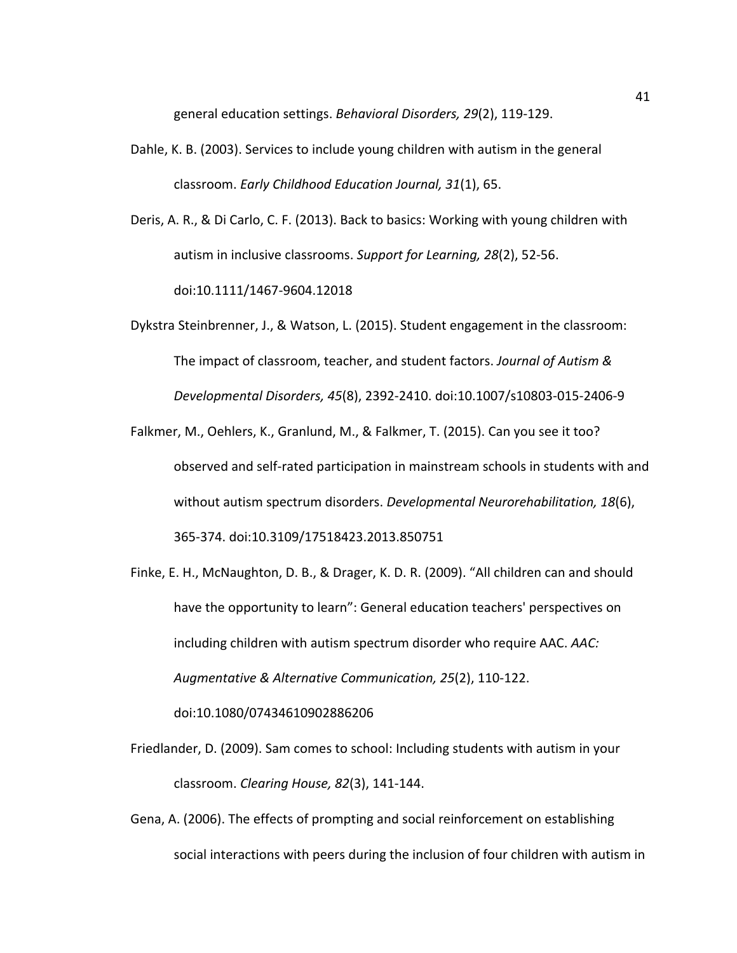general education settings. *Behavioral Disorders, 29*(2), 119-129.

- Dahle, K. B. (2003). Services to include young children with autism in the general classroom. *Early Childhood Education Journal, 31*(1), 65.
- Deris, A. R., & Di Carlo, C. F. (2013). Back to basics: Working with young children with autism in inclusive classrooms. Support for Learning, 28(2), 52-56. doi:10.1111/1467-9604.12018
- Dykstra Steinbrenner, J., & Watson, L. (2015). Student engagement in the classroom: The impact of classroom, teacher, and student factors. *Journal of Autism & Developmental Disorders, 45*(8), 2392-2410. doi:10.1007/s10803-015-2406-9
- Falkmer, M., Oehlers, K., Granlund, M., & Falkmer, T. (2015). Can you see it too? observed and self-rated participation in mainstream schools in students with and without autism spectrum disorders. *Developmental Neurorehabilitation*, 18(6), 365-374. doi:10.3109/17518423.2013.850751
- Finke, E. H., McNaughton, D. B., & Drager, K. D. R. (2009). "All children can and should have the opportunity to learn": General education teachers' perspectives on including children with autism spectrum disorder who require AAC. AAC: *Augmentative & Alternative Communication, 25*(2), 110-122.

doi:10.1080/07434610902886206

- Friedlander, D. (2009). Sam comes to school: Including students with autism in your classroom. *Clearing House, 82*(3), 141-144.
- Gena, A. (2006). The effects of prompting and social reinforcement on establishing social interactions with peers during the inclusion of four children with autism in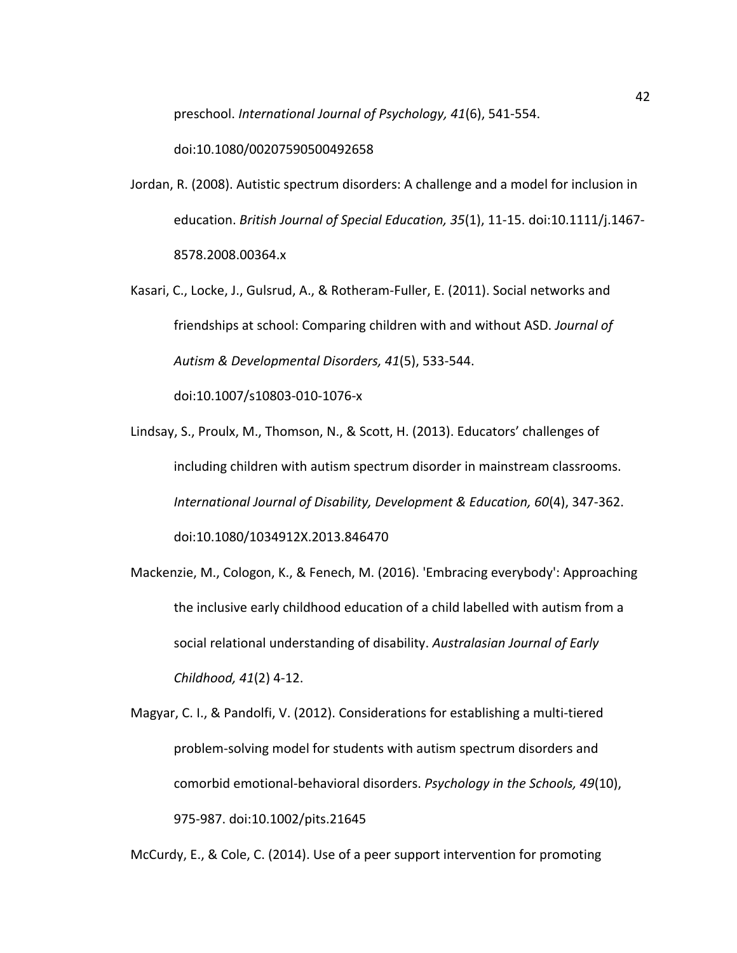preschool. *International Journal of Psychology, 41*(6), 541-554.

doi:10.1080/00207590500492658

- Jordan, R. (2008). Autistic spectrum disorders: A challenge and a model for inclusion in education. *British Journal of Special Education, 35*(1), 11-15. doi:10.1111/j.1467-8578.2008.00364.x
- Kasari, C., Locke, J., Gulsrud, A., & Rotheram-Fuller, E. (2011). Social networks and friendships at school: Comparing children with and without ASD. *Journal of Autism & Developmental Disorders, 41*(5), 533-544. doi:10.1007/s10803-010-1076-x

Lindsay, S., Proulx, M., Thomson, N., & Scott, H. (2013). Educators' challenges of including children with autism spectrum disorder in mainstream classrooms. *International Journal of Disability, Development & Education, 60*(4), 347-362. doi:10.1080/1034912X.2013.846470

Mackenzie, M., Cologon, K., & Fenech, M. (2016). 'Embracing everybody': Approaching the inclusive early childhood education of a child labelled with autism from a social relational understanding of disability. Australasian Journal of Early *Childhood, 41*(2) 4-12.

Magyar, C. I., & Pandolfi, V. (2012). Considerations for establishing a multi-tiered problem-solving model for students with autism spectrum disorders and comorbid emotional-behavioral disorders. *Psychology in the Schools, 49*(10), 975-987. doi:10.1002/pits.21645

McCurdy, E., & Cole, C. (2014). Use of a peer support intervention for promoting